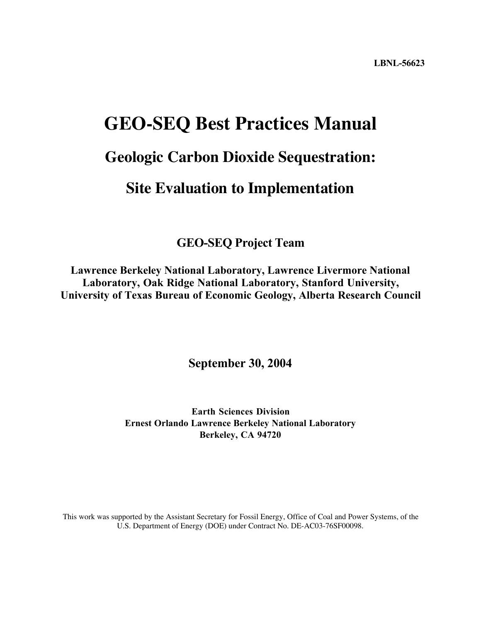# **GEO-SEQ Best Practices Manual**

# **Geologic Carbon Dioxide Sequestration:**

# **Site Evaluation to Implementation**

**GEO-SEQ Project Team**

**Lawrence Berkeley National Laboratory, Lawrence Livermore National Laboratory, Oak Ridge National Laboratory, Stanford University, University of Texas Bureau of Economic Geology, Alberta Research Council**

**September 30, 2004**

**Earth Sciences Division Ernest Orlando Lawrence Berkeley National Laboratory Berkeley, CA 94720**

This work was supported by the Assistant Secretary for Fossil Energy, Office of Coal and Power Systems, of the U.S. Department of Energy (DOE) under Contract No. DE-AC03-76SF00098.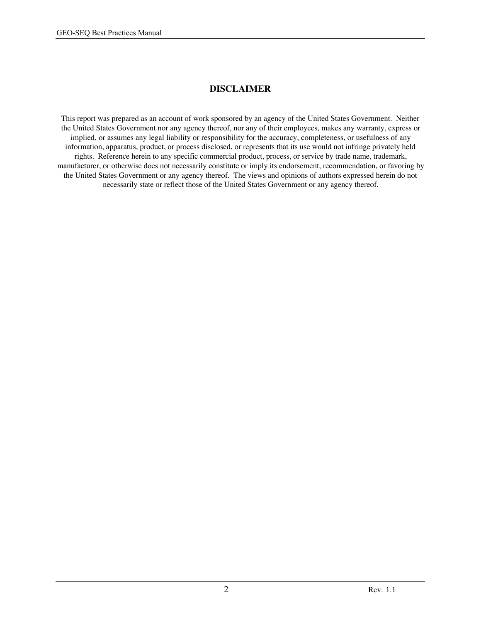#### **DISCLAIMER**

This report was prepared as an account of work sponsored by an agency of the United States Government. Neither the United States Government nor any agency thereof, nor any of their employees, makes any warranty, express or implied, or assumes any legal liability or responsibility for the accuracy, completeness, or usefulness of any information, apparatus, product, or process disclosed, or represents that its use would not infringe privately held rights. Reference herein to any specific commercial product, process, or service by trade name, trademark, manufacturer, or otherwise does not necessarily constitute or imply its endorsement, recommendation, or favoring by the United States Government or any agency thereof. The views and opinions of authors expressed herein do not necessarily state or reflect those of the United States Government or any agency thereof.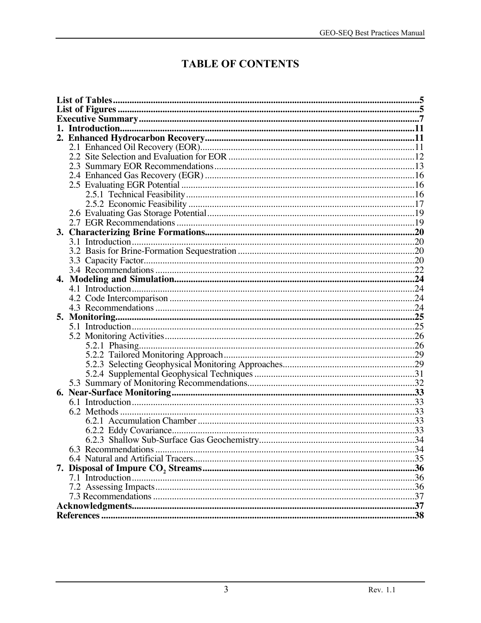# **TABLE OF CONTENTS**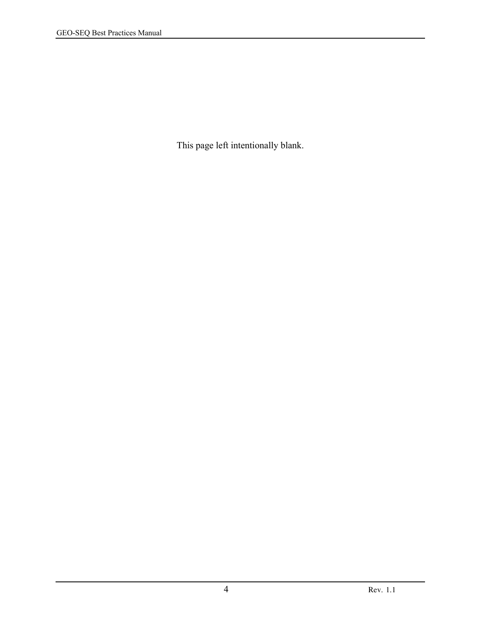This page left intentionally blank.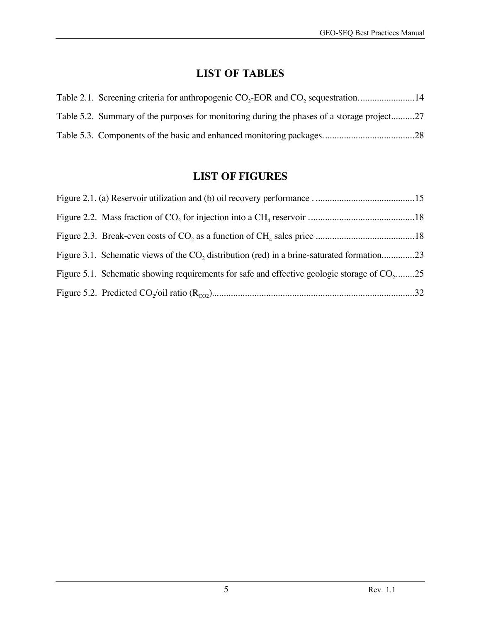### **LIST OF TABLES**

| Table 2.1. Screening criteria for anthropogenic CO <sub>2</sub> -EOR and CO <sub>2</sub> sequestration14 |
|----------------------------------------------------------------------------------------------------------|
| Table 5.2. Summary of the purposes for monitoring during the phases of a storage project27               |
|                                                                                                          |

# **LIST OF FIGURES**

| Figure 3.1. Schematic views of the CO <sub>2</sub> distribution (red) in a brine-saturated formation23   |  |
|----------------------------------------------------------------------------------------------------------|--|
| Figure 5.1. Schematic showing requirements for safe and effective geologic storage of CO <sub>2</sub> 25 |  |
|                                                                                                          |  |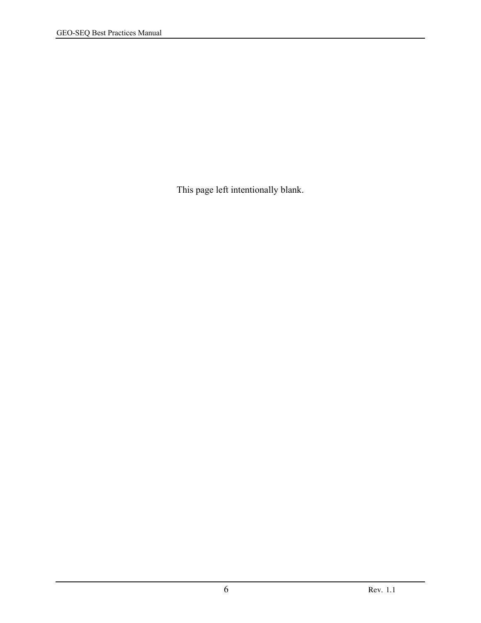This page left intentionally blank.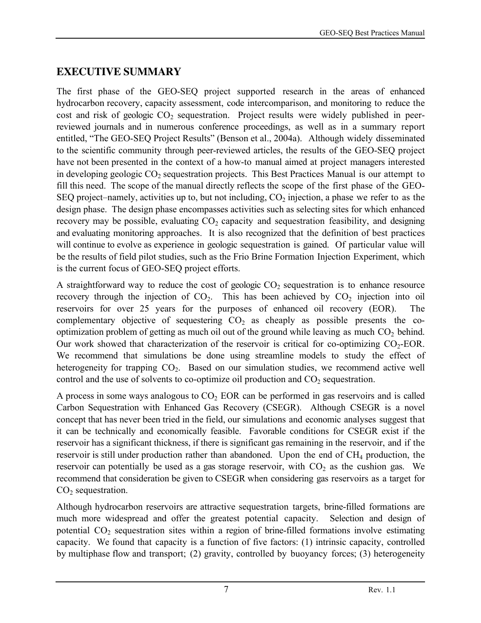# **EXECUTIVE SUMMARY**

The first phase of the GEO-SEQ project supported research in the areas of enhanced hydrocarbon recovery, capacity assessment, code intercomparison, and monitoring to reduce the cost and risk of geologic  $CO_2$  sequestration. Project results were widely published in peerreviewed journals and in numerous conference proceedings, as well as in a summary report entitled, "The GEO-SEQ Project Results" (Benson et al., 2004a). Although widely disseminated to the scientific community through peer-reviewed articles, the results of the GEO-SEQ project have not been presented in the context of a how-to manual aimed at project managers interested in developing geologic  $CO_2$  sequestration projects. This Best Practices Manual is our attempt to fill this need. The scope of the manual directly reflects the scope of the first phase of the GEO-SEQ project–namely, activities up to, but not including,  $CO_2$  injection, a phase we refer to as the design phase. The design phase encompasses activities such as selecting sites for which enhanced recovery may be possible, evaluating  $CO<sub>2</sub>$  capacity and sequestration feasibility, and designing and evaluating monitoring approaches. It is also recognized that the definition of best practices will continue to evolve as experience in geologic sequestration is gained. Of particular value will be the results of field pilot studies, such as the Frio Brine Formation Injection Experiment, which is the current focus of GEO-SEQ project efforts.

A straightforward way to reduce the cost of geologic  $CO<sub>2</sub>$  sequestration is to enhance resource recovery through the injection of  $CO<sub>2</sub>$ . This has been achieved by  $CO<sub>2</sub>$  injection into oil reservoirs for over 25 years for the purposes of enhanced oil recovery (EOR). The complementary objective of sequestering  $CO<sub>2</sub>$  as cheaply as possible presents the cooptimization problem of getting as much oil out of the ground while leaving as much  $CO<sub>2</sub>$  behind. Our work showed that characterization of the reservoir is critical for co-optimizing  $CO<sub>2</sub>$ -EOR. We recommend that simulations be done using streamline models to study the effect of heterogeneity for trapping  $CO<sub>2</sub>$ . Based on our simulation studies, we recommend active well control and the use of solvents to co-optimize oil production and  $CO<sub>2</sub>$  sequestration.

A process in some ways analogous to  $CO<sub>2</sub> EOR$  can be performed in gas reservoirs and is called Carbon Sequestration with Enhanced Gas Recovery (CSEGR). Although CSEGR is a novel concept that has never been tried in the field, our simulations and economic analyses suggest that it can be technically and economically feasible. Favorable conditions for CSEGR exist if the reservoir has a significant thickness, if there is significant gas remaining in the reservoir, and if the reservoir is still under production rather than abandoned. Upon the end of  $CH_4$  production, the reservoir can potentially be used as a gas storage reservoir, with  $CO<sub>2</sub>$  as the cushion gas. We recommend that consideration be given to CSEGR when considering gas reservoirs as a target for  $CO<sub>2</sub>$  sequestration.

Although hydrocarbon reservoirs are attractive sequestration targets, brine-filled formations are much more widespread and offer the greatest potential capacity. Selection and design of potential  $CO<sub>2</sub>$  sequestration sites within a region of brine-filled formations involve estimating capacity. We found that capacity is a function of five factors: (1) intrinsic capacity, controlled by multiphase flow and transport; (2) gravity, controlled by buoyancy forces; (3) heterogeneity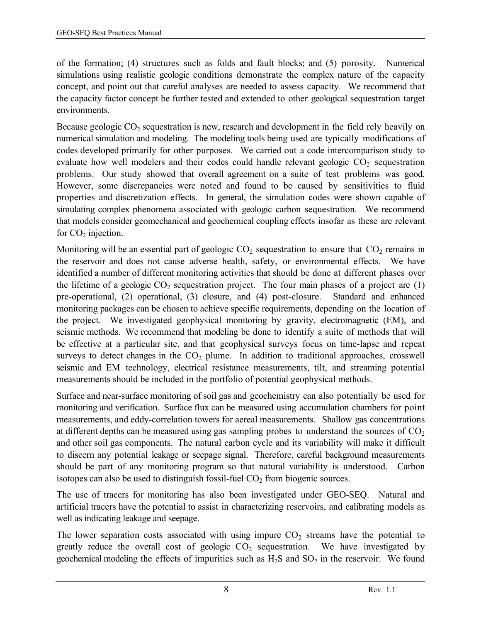of the formation; (4) structures such as folds and fault blocks; and (5) porosity. Numerical simulations using realistic geologic conditions demonstrate the complex nature of the capacity concept, and point out that careful analyses are needed to assess capacity. We recommend that the capacity factor concept be further tested and extended to other geological sequestration target environments.

Because geologic  $CO_2$  sequestration is new, research and development in the field rely heavily on numerical simulation and modeling. The modeling tools being used are typically modifications of codes developed primarily for other purposes. We carried out a code intercomparison study to evaluate how well modelers and their codes could handle relevant geologic  $CO<sub>2</sub>$  sequestration problems. Our study showed that overall agreement on a suite of test problems was good. However, some discrepancies were noted and found to be caused by sensitivities to fluid properties and discretization effects. In general, the simulation codes were shown capable of simulating complex phenomena associated with geologic carbon sequestration. We recommend that models consider geomechanical and geochemical coupling effects insofar as these are relevant for  $CO<sub>2</sub>$  injection.

Monitoring will be an essential part of geologic  $CO_2$  sequestration to ensure that  $CO_2$  remains in the reservoir and does not cause adverse health, safety, or environmental effects. We have identified a number of different monitoring activities that should be done at different phases over the lifetime of a geologic  $CO_2$  sequestration project. The four main phases of a project are  $(1)$ pre-operational, (2) operational, (3) closure, and (4) post-closure. Standard and enhanced monitoring packages can be chosen to achieve specific requirements, depending on the location of the project. We investigated geophysical monitoring by gravity, electromagnetic (EM), and seismic methods. We recommend that modeling be done to identify a suite of methods that will be effective at a particular site, and that geophysical surveys focus on time-lapse and repeat surveys to detect changes in the  $CO<sub>2</sub>$  plume. In addition to traditional approaches, crosswell seismic and EM technology, electrical resistance measurements, tilt, and streaming potential measurements should be included in the portfolio of potential geophysical methods.

Surface and near-surface monitoring of soil gas and geochemistry can also potentially be used for monitoring and verification. Surface flux can be measured using accumulation chambers for point measurements, and eddy-correlation towers for aereal measurements. Shallow gas concentrations at different depths can be measured using gas sampling probes to understand the sources of  $CO<sub>2</sub>$ and other soil gas components. The natural carbon cycle and its variability will make it difficult to discern any potential leakage or seepage signal. Therefore, careful background measurements should be part of any monitoring program so that natural variability is understood. Carbon isotopes can also be used to distinguish fossil-fuel  $CO<sub>2</sub>$  from biogenic sources.

The use of tracers for monitoring has also been investigated under GEO-SEQ. Natural and artificial tracers have the potential to assist in characterizing reservoirs, and calibrating models as well as indicating leakage and seepage.

The lower separation costs associated with using impure  $CO<sub>2</sub>$  streams have the potential to greatly reduce the overall cost of geologic  $CO<sub>2</sub>$  sequestration. We have investigated by geochemical modeling the effects of impurities such as  $H_2S$  and  $SO_2$  in the reservoir. We found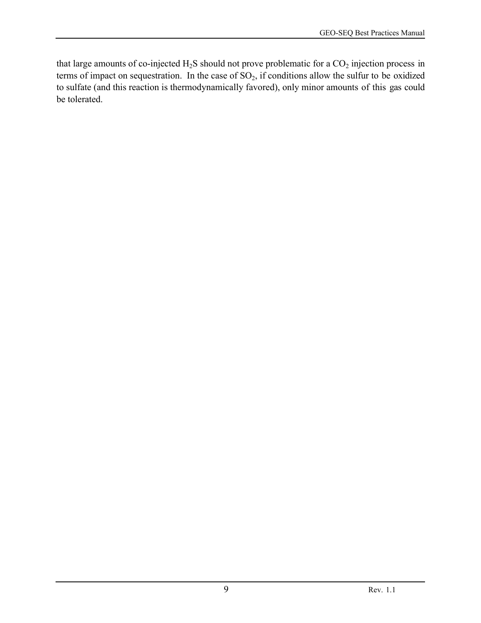that large amounts of co-injected  $H_2S$  should not prove problematic for a  $CO_2$  injection process in terms of impact on sequestration. In the case of  $SO_2$ , if conditions allow the sulfur to be oxidized to sulfate (and this reaction is thermodynamically favored), only minor amounts of this gas could be tolerated.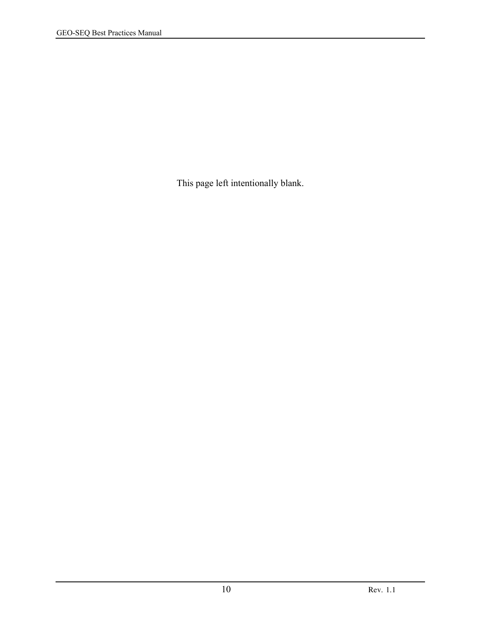This page left intentionally blank.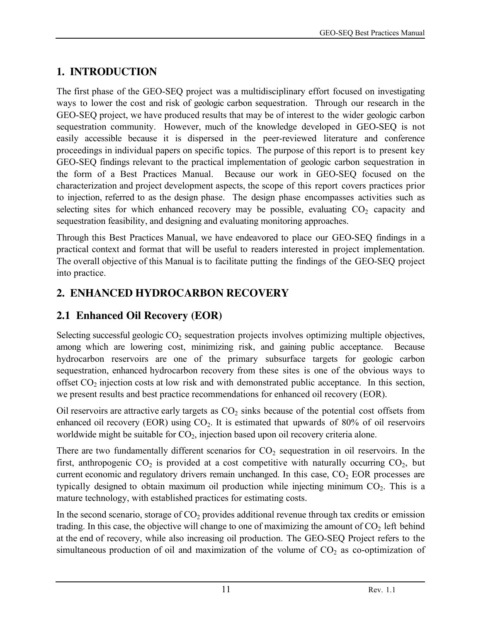# **1. INTRODUCTION**

The first phase of the GEO-SEQ project was a multidisciplinary effort focused on investigating ways to lower the cost and risk of geologic carbon sequestration. Through our research in the GEO-SEQ project, we have produced results that may be of interest to the wider geologic carbon sequestration community. However, much of the knowledge developed in GEO-SEQ is not easily accessible because it is dispersed in the peer-reviewed literature and conference proceedings in individual papers on specific topics. The purpose of this report is to present key GEO-SEQ findings relevant to the practical implementation of geologic carbon sequestration in the form of a Best Practices Manual. Because our work in GEO-SEQ focused on the characterization and project development aspects, the scope of this report covers practices prior to injection, referred to as the design phase. The design phase encompasses activities such as selecting sites for which enhanced recovery may be possible, evaluating  $CO<sub>2</sub>$  capacity and sequestration feasibility, and designing and evaluating monitoring approaches.

Through this Best Practices Manual, we have endeavored to place our GEO-SEQ findings in a practical context and format that will be useful to readers interested in project implementation. The overall objective of this Manual is to facilitate putting the findings of the GEO-SEQ project into practice.

# **2. ENHANCED HYDROCARBON RECOVERY**

# **2.1 Enhanced Oil Recovery (EOR)**

Selecting successful geologic CO<sub>2</sub> sequestration projects involves optimizing multiple objectives, among which are lowering cost, minimizing risk, and gaining public acceptance. Because hydrocarbon reservoirs are one of the primary subsurface targets for geologic carbon sequestration, enhanced hydrocarbon recovery from these sites is one of the obvious ways to offset  $CO<sub>2</sub>$  injection costs at low risk and with demonstrated public acceptance. In this section, we present results and best practice recommendations for enhanced oil recovery (EOR).

Oil reservoirs are attractive early targets as  $CO<sub>2</sub>$  sinks because of the potential cost offsets from enhanced oil recovery (EOR) using  $CO<sub>2</sub>$ . It is estimated that upwards of 80% of oil reservoirs worldwide might be suitable for  $CO<sub>2</sub>$ , injection based upon oil recovery criteria alone.

There are two fundamentally different scenarios for  $CO<sub>2</sub>$  sequestration in oil reservoirs. In the first, anthropogenic  $CO_2$  is provided at a cost competitive with naturally occurring  $CO_2$ , but current economic and regulatory drivers remain unchanged. In this case,  $CO<sub>2</sub> EOR$  processes are typically designed to obtain maximum oil production while injecting minimum  $CO<sub>2</sub>$ . This is a mature technology, with established practices for estimating costs.

In the second scenario, storage of  $CO<sub>2</sub>$  provides additional revenue through tax credits or emission trading. In this case, the objective will change to one of maximizing the amount of  $CO<sub>2</sub>$  left behind at the end of recovery, while also increasing oil production. The GEO-SEQ Project refers to the simultaneous production of oil and maximization of the volume of  $CO<sub>2</sub>$  as co-optimization of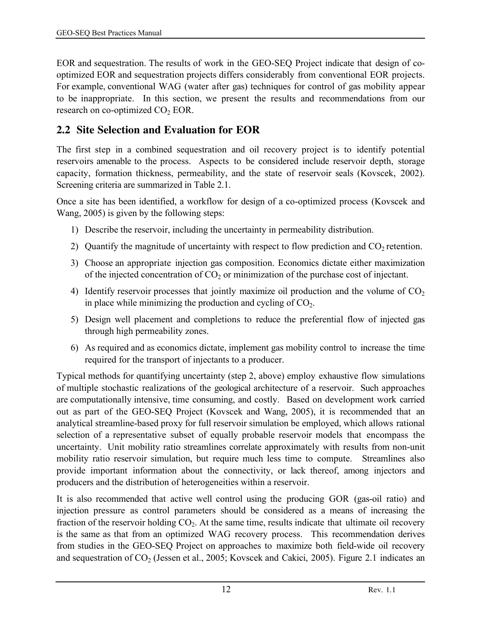EOR and sequestration. The results of work in the GEO-SEQ Project indicate that design of cooptimized EOR and sequestration projects differs considerably from conventional EOR projects. For example, conventional WAG (water after gas) techniques for control of gas mobility appear to be inappropriate. In this section, we present the results and recommendations from our research on co-optimized  $CO<sub>2</sub> EOR$ .

# **2.2 Site Selection and Evaluation for EOR**

The first step in a combined sequestration and oil recovery project is to identify potential reservoirs amenable to the process. Aspects to be considered include reservoir depth, storage capacity, formation thickness, permeability, and the state of reservoir seals (Kovscek, 2002). Screening criteria are summarized in Table 2.1.

Once a site has been identified, a workflow for design of a co-optimized process (Kovscek and Wang, 2005) is given by the following steps:

- 1) Describe the reservoir, including the uncertainty in permeability distribution.
- 2) Quantify the magnitude of uncertainty with respect to flow prediction and  $CO<sub>2</sub>$  retention.
- 3) Choose an appropriate injection gas composition. Economics dictate either maximization of the injected concentration of  $CO<sub>2</sub>$  or minimization of the purchase cost of injectant.
- 4) Identify reservoir processes that jointly maximize oil production and the volume of  $CO<sub>2</sub>$ in place while minimizing the production and cycling of  $CO<sub>2</sub>$ .
- 5) Design well placement and completions to reduce the preferential flow of injected gas through high permeability zones.
- 6) As required and as economics dictate, implement gas mobility control to increase the time required for the transport of injectants to a producer.

Typical methods for quantifying uncertainty (step 2, above) employ exhaustive flow simulations of multiple stochastic realizations of the geological architecture of a reservoir. Such approaches are computationally intensive, time consuming, and costly. Based on development work carried out as part of the GEO-SEQ Project (Kovscek and Wang, 2005), it is recommended that an analytical streamline-based proxy for full reservoir simulation be employed, which allows rational selection of a representative subset of equally probable reservoir models that encompass the uncertainty. Unit mobility ratio streamlines correlate approximately with results from non-unit mobility ratio reservoir simulation, but require much less time to compute. Streamlines also provide important information about the connectivity, or lack thereof, among injectors and producers and the distribution of heterogeneities within a reservoir.

It is also recommended that active well control using the producing GOR (gas-oil ratio) and injection pressure as control parameters should be considered as a means of increasing the fraction of the reservoir holding  $CO<sub>2</sub>$ . At the same time, results indicate that ultimate oil recovery is the same as that from an optimized WAG recovery process. This recommendation derives from studies in the GEO-SEQ Project on approaches to maximize both field-wide oil recovery and sequestration of  $CO_2$  (Jessen et al., 2005; Kovscek and Cakici, 2005). Figure 2.1 indicates an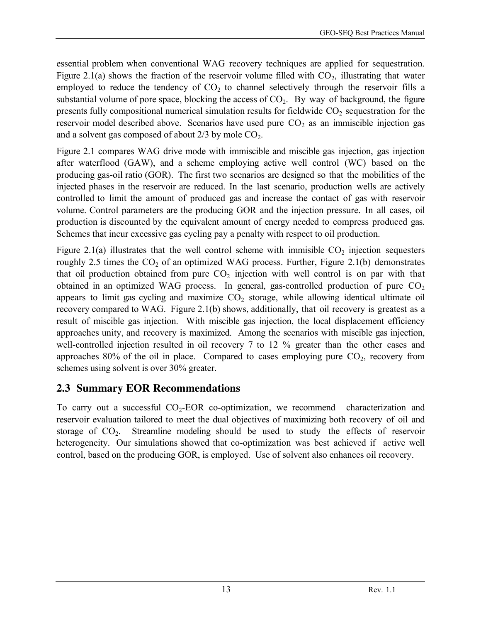essential problem when conventional WAG recovery techniques are applied for sequestration. Figure 2.1(a) shows the fraction of the reservoir volume filled with  $CO<sub>2</sub>$ , illustrating that water employed to reduce the tendency of  $CO<sub>2</sub>$  to channel selectively through the reservoir fills a substantial volume of pore space, blocking the access of  $CO<sub>2</sub>$ . By way of background, the figure presents fully compositional numerical simulation results for fieldwide  $CO<sub>2</sub>$  sequestration for the reservoir model described above. Scenarios have used pure  $CO<sub>2</sub>$  as an immiscible injection gas and a solvent gas composed of about  $2/3$  by mole  $CO<sub>2</sub>$ .

Figure 2.1 compares WAG drive mode with immiscible and miscible gas injection, gas injection after waterflood (GAW), and a scheme employing active well control (WC) based on the producing gas-oil ratio (GOR). The first two scenarios are designed so that the mobilities of the injected phases in the reservoir are reduced. In the last scenario, production wells are actively controlled to limit the amount of produced gas and increase the contact of gas with reservoir volume. Control parameters are the producing GOR and the injection pressure. In all cases, oil production is discounted by the equivalent amount of energy needed to compress produced gas. Schemes that incur excessive gas cycling pay a penalty with respect to oil production.

Figure 2.1(a) illustrates that the well control scheme with immisible  $CO<sub>2</sub>$  injection sequesters roughly 2.5 times the  $CO<sub>2</sub>$  of an optimized WAG process. Further, Figure 2.1(b) demonstrates that oil production obtained from pure  $CO<sub>2</sub>$  injection with well control is on par with that obtained in an optimized WAG process. In general, gas-controlled production of pure  $CO<sub>2</sub>$ appears to limit gas cycling and maximize  $CO<sub>2</sub>$  storage, while allowing identical ultimate oil recovery compared to WAG. Figure 2.1(b) shows, additionally, that oil recovery is greatest as a result of miscible gas injection. With miscible gas injection, the local displacement efficiency approaches unity, and recovery is maximized. Among the scenarios with miscible gas injection, well-controlled injection resulted in oil recovery 7 to 12 % greater than the other cases and approaches 80% of the oil in place. Compared to cases employing pure  $CO<sub>2</sub>$ , recovery from schemes using solvent is over 30% greater.

# **2.3 Summary EOR Recommendations**

To carry out a successful  $CO<sub>2</sub>-EOR$  co-optimization, we recommend characterization and reservoir evaluation tailored to meet the dual objectives of maximizing both recovery of oil and storage of  $CO<sub>2</sub>$ . Streamline modeling should be used to study the effects of reservoir heterogeneity. Our simulations showed that co-optimization was best achieved if active well control, based on the producing GOR, is employed. Use of solvent also enhances oil recovery.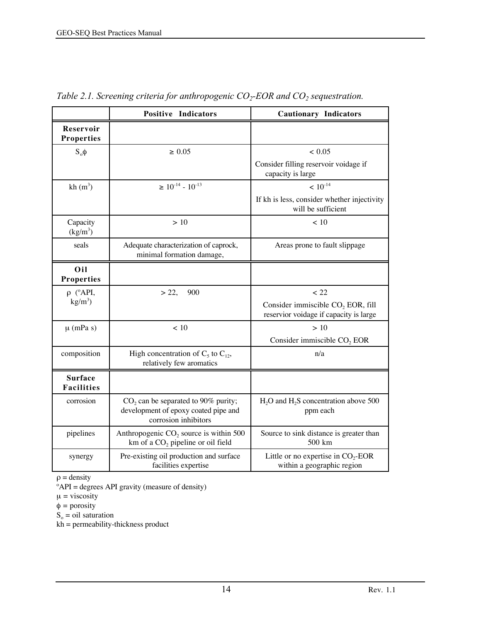|                                     | <b>Positive Indicators</b>                                                                            | <b>Cautionary Indicators</b>                                                   |
|-------------------------------------|-------------------------------------------------------------------------------------------------------|--------------------------------------------------------------------------------|
| Reservoir<br><b>Properties</b>      |                                                                                                       |                                                                                |
| $S_o \phi$                          | $\geq 0.05$                                                                                           | < 0.05                                                                         |
|                                     |                                                                                                       | Consider filling reservoir voidage if<br>capacity is large                     |
| kh $(m^3)$                          | $\geq 10^{-14} - 10^{-13}$                                                                            | $< 10^{-14}$                                                                   |
|                                     |                                                                                                       | If kh is less, consider whether injectivity<br>will be sufficient              |
| Capacity<br>(kg/m <sup>3</sup> )    | $>10$                                                                                                 | < 10                                                                           |
| seals                               | Adequate characterization of caprock,<br>minimal formation damage,                                    | Areas prone to fault slippage                                                  |
| Oil<br><b>Properties</b>            |                                                                                                       |                                                                                |
| $\rho$ (°API,                       | > 22,<br>900                                                                                          | < 22                                                                           |
| $kg/m^3$ )                          |                                                                                                       | Consider immiscible $CO2 EOR$ , fill<br>reservior voidage if capacity is large |
| $\mu$ (mPa s)                       | < 10                                                                                                  | >10                                                                            |
|                                     |                                                                                                       | Consider immiscible CO <sub>2</sub> EOR                                        |
| composition                         | High concentration of $C_5$ to $C_{12}$ ,<br>relatively few aromatics                                 | n/a                                                                            |
| <b>Surface</b><br><b>Facilities</b> |                                                                                                       |                                                                                |
| corrosion                           | $CO2$ can be separated to 90% purity;<br>development of epoxy coated pipe and<br>corrosion inhibitors | $H2O$ and $H2S$ concentration above 500<br>ppm each                            |
| pipelines                           | Anthropogenic $CO2$ source is within 500<br>$km$ of a $CO2$ pipeline or oil field                     | Source to sink distance is greater than<br>500 km                              |
| synergy                             | Pre-existing oil production and surface<br>facilities expertise                                       | Little or no expertise in $CO_2$ -EOR<br>within a geographic region            |

*Table 2.1. Screening criteria for anthropogenic CO<sub>2</sub>-EOR and CO<sub>2</sub> sequestration.* 

 $\rho = density$ 

ºAPI = degrees API gravity (measure of density)

 $\mu$  = viscosity

 $\phi = \text{porosity}$ 

 $S_0$  = oil saturation

kh = permeability-thickness product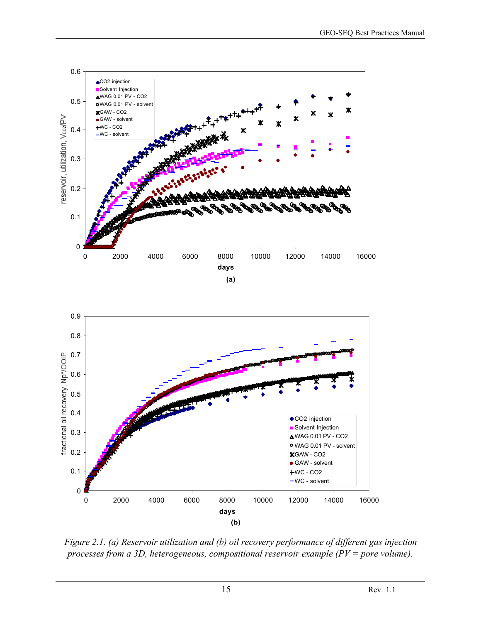



*Figure 2.1. (a) Reservoir utilization and (b) oil recovery performance of different gas injection processes from a 3D, heterogeneous, compositional reservoir example (PV = pore volume).*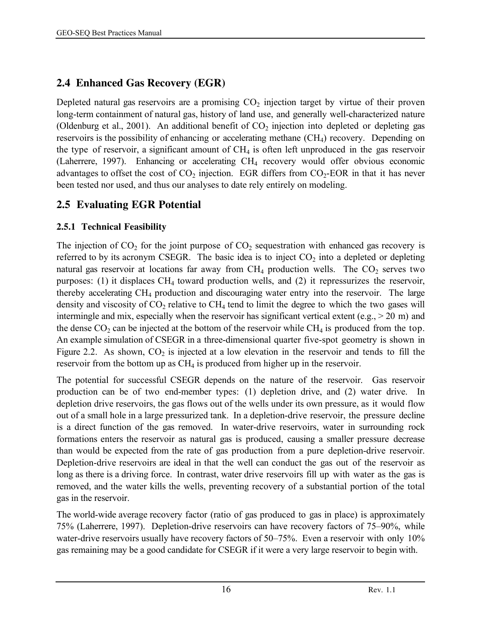# **2.4 Enhanced Gas Recovery (EGR)**

Depleted natural gas reservoirs are a promising  $CO<sub>2</sub>$  injection target by virtue of their proven long-term containment of natural gas, history of land use, and generally well-characterized nature (Oldenburg et al., 2001). An additional benefit of  $CO<sub>2</sub>$  injection into depleted or depleting gas reservoirs is the possibility of enhancing or accelerating methane  $(CH<sub>4</sub>)$  recovery. Depending on the type of reservoir, a significant amount of  $CH<sub>4</sub>$  is often left unproduced in the gas reservoir (Laherrere, 1997). Enhancing or accelerating CH<sub>4</sub> recovery would offer obvious economic advantages to offset the cost of  $CO_2$  injection. EGR differs from  $CO_2$ -EOR in that it has never been tested nor used, and thus our analyses to date rely entirely on modeling.

# **2.5 Evaluating EGR Potential**

#### **2.5.1 Technical Feasibility**

The injection of  $CO_2$  for the joint purpose of  $CO_2$  sequestration with enhanced gas recovery is referred to by its acronym CSEGR. The basic idea is to inject  $CO<sub>2</sub>$  into a depleted or depleting natural gas reservoir at locations far away from  $CH_4$  production wells. The  $CO_2$  serves two purposes: (1) it displaces  $CH_4$  toward production wells, and (2) it repressurizes the reservoir, thereby accelerating CH4 production and discouraging water entry into the reservoir. The large density and viscosity of  $CO<sub>2</sub>$  relative to  $CH<sub>4</sub>$  tend to limit the degree to which the two gases will intermingle and mix, especially when the reservoir has significant vertical extent (e.g.,  $> 20$  m) and the dense  $CO_2$  can be injected at the bottom of the reservoir while  $CH_4$  is produced from the top. An example simulation of CSEGR in a three-dimensional quarter five-spot geometry is shown in Figure 2.2. As shown,  $CO<sub>2</sub>$  is injected at a low elevation in the reservoir and tends to fill the reservoir from the bottom up as  $CH<sub>4</sub>$  is produced from higher up in the reservoir.

The potential for successful CSEGR depends on the nature of the reservoir. Gas reservoir production can be of two end-member types: (1) depletion drive, and (2) water drive. In depletion drive reservoirs, the gas flows out of the wells under its own pressure, as it would flow out of a small hole in a large pressurized tank. In a depletion-drive reservoir, the pressure decline is a direct function of the gas removed. In water-drive reservoirs, water in surrounding rock formations enters the reservoir as natural gas is produced, causing a smaller pressure decrease than would be expected from the rate of gas production from a pure depletion-drive reservoir. Depletion-drive reservoirs are ideal in that the well can conduct the gas out of the reservoir as long as there is a driving force. In contrast, water drive reservoirs fill up with water as the gas is removed, and the water kills the wells, preventing recovery of a substantial portion of the total gas in the reservoir.

The world-wide average recovery factor (ratio of gas produced to gas in place) is approximately 75% (Laherrere, 1997). Depletion-drive reservoirs can have recovery factors of 75–90%, while water-drive reservoirs usually have recovery factors of 50–75%. Even a reservoir with only 10% gas remaining may be a good candidate for CSEGR if it were a very large reservoir to begin with.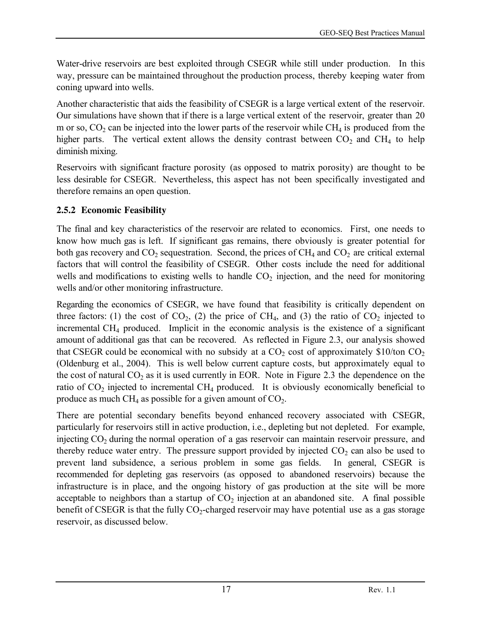Water-drive reservoirs are best exploited through CSEGR while still under production. In this way, pressure can be maintained throughout the production process, thereby keeping water from coning upward into wells.

Another characteristic that aids the feasibility of CSEGR is a large vertical extent of the reservoir. Our simulations have shown that if there is a large vertical extent of the reservoir, greater than 20 m or so,  $CO<sub>2</sub>$  can be injected into the lower parts of the reservoir while CH<sub>4</sub> is produced from the higher parts. The vertical extent allows the density contrast between  $CO<sub>2</sub>$  and  $CH<sub>4</sub>$  to help diminish mixing.

Reservoirs with significant fracture porosity (as opposed to matrix porosity) are thought to be less desirable for CSEGR. Nevertheless, this aspect has not been specifically investigated and therefore remains an open question.

### **2.5.2 Economic Feasibility**

The final and key characteristics of the reservoir are related to economics. First, one needs to know how much gas is left. If significant gas remains, there obviously is greater potential for both gas recovery and  $CO_2$  sequestration. Second, the prices of  $CH_4$  and  $CO_2$  are critical external factors that will control the feasibility of CSEGR. Other costs include the need for additional wells and modifications to existing wells to handle  $CO<sub>2</sub>$  injection, and the need for monitoring wells and/or other monitoring infrastructure.

Regarding the economics of CSEGR, we have found that feasibility is critically dependent on three factors: (1) the cost of  $CO<sub>2</sub>$ , (2) the price of  $CH<sub>4</sub>$ , and (3) the ratio of  $CO<sub>2</sub>$  injected to incremental CH4 produced. Implicit in the economic analysis is the existence of a significant amount of additional gas that can be recovered. As reflected in Figure 2.3, our analysis showed that CSEGR could be economical with no subsidy at a  $CO<sub>2</sub>$  cost of approximately \$10/ton  $CO<sub>2</sub>$ (Oldenburg et al., 2004). This is well below current capture costs, but approximately equal to the cost of natural  $CO_2$  as it is used currently in EOR. Note in Figure 2.3 the dependence on the ratio of  $CO<sub>2</sub>$  injected to incremental  $CH<sub>4</sub>$  produced. It is obviously economically beneficial to produce as much  $CH_4$  as possible for a given amount of  $CO_2$ .

There are potential secondary benefits beyond enhanced recovery associated with CSEGR, particularly for reservoirs still in active production, i.e., depleting but not depleted. For example, injecting  $CO<sub>2</sub>$  during the normal operation of a gas reservoir can maintain reservoir pressure, and thereby reduce water entry. The pressure support provided by injected  $CO<sub>2</sub>$  can also be used to prevent land subsidence, a serious problem in some gas fields. In general, CSEGR is recommended for depleting gas reservoirs (as opposed to abandoned reservoirs) because the infrastructure is in place, and the ongoing history of gas production at the site will be more acceptable to neighbors than a startup of  $CO<sub>2</sub>$  injection at an abandoned site. A final possible benefit of CSEGR is that the fully  $CO_2$ -charged reservoir may have potential use as a gas storage reservoir, as discussed below.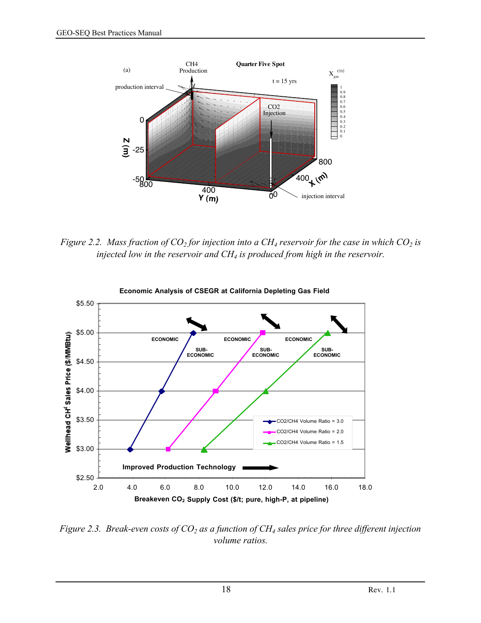

*Figure 2.2. Mass fraction of CO<sub>2</sub> for injection into a CH<sub>4</sub> reservoir for the case in which CO<sub>2</sub> is injected low in the reservoir and CH4 is produced from high in the reservoir.*



*Figure 2.3. Break-even costs of CO<sub>2</sub> as a function of CH<sub>4</sub> sales price for three different injection volume ratios.*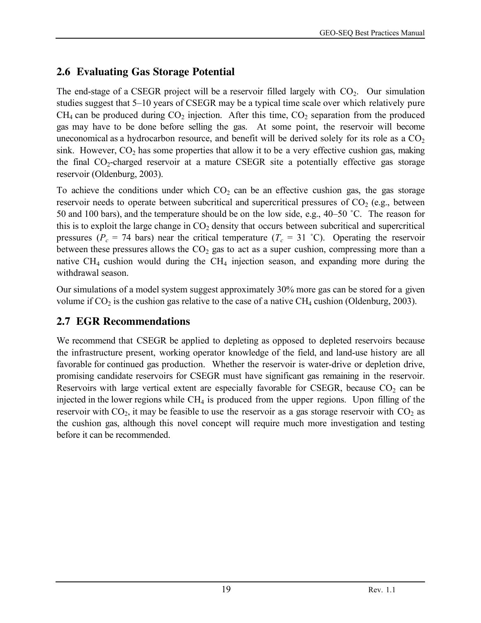# **2.6 Evaluating Gas Storage Potential**

The end-stage of a CSEGR project will be a reservoir filled largely with  $CO<sub>2</sub>$ . Our simulation studies suggest that 5–10 years of CSEGR may be a typical time scale over which relatively pure  $CH<sub>4</sub>$  can be produced during  $CO<sub>2</sub>$  injection. After this time,  $CO<sub>2</sub>$  separation from the produced gas may have to be done before selling the gas. At some point, the reservoir will become uneconomical as a hydrocarbon resource, and benefit will be derived solely for its role as a  $CO<sub>2</sub>$ sink. However,  $CO<sub>2</sub>$  has some properties that allow it to be a very effective cushion gas, making the final  $CO_2$ -charged reservoir at a mature CSEGR site a potentially effective gas storage reservoir (Oldenburg, 2003).

To achieve the conditions under which  $CO<sub>2</sub>$  can be an effective cushion gas, the gas storage reservoir needs to operate between subcritical and supercritical pressures of  $CO<sub>2</sub>$  (e.g., between 50 and 100 bars), and the temperature should be on the low side, e.g., 40–50 ˚C. The reason for this is to exploit the large change in  $CO<sub>2</sub>$  density that occurs between subcritical and supercritical pressures ( $P_c$  = 74 bars) near the critical temperature ( $T_c$  = 31 °C). Operating the reservoir between these pressures allows the  $CO<sub>2</sub>$  gas to act as a super cushion, compressing more than a native  $CH_4$  cushion would during the  $CH_4$  injection season, and expanding more during the withdrawal season.

Our simulations of a model system suggest approximately 30% more gas can be stored for a given volume if  $CO_2$  is the cushion gas relative to the case of a native  $CH_4$  cushion (Oldenburg, 2003).

# **2.7 EGR Recommendations**

We recommend that CSEGR be applied to depleting as opposed to depleted reservoirs because the infrastructure present, working operator knowledge of the field, and land-use history are all favorable for continued gas production. Whether the reservoir is water-drive or depletion drive, promising candidate reservoirs for CSEGR must have significant gas remaining in the reservoir. Reservoirs with large vertical extent are especially favorable for CSEGR, because  $CO<sub>2</sub>$  can be injected in the lower regions while  $CH_4$  is produced from the upper regions. Upon filling of the reservoir with  $CO_2$ , it may be feasible to use the reservoir as a gas storage reservoir with  $CO_2$  as the cushion gas, although this novel concept will require much more investigation and testing before it can be recommended.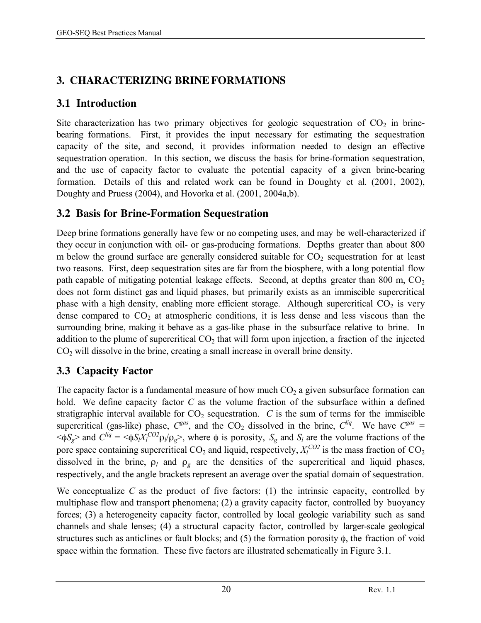## **3. CHARACTERIZING BRINE FORMATIONS**

### **3.1 Introduction**

Site characterization has two primary objectives for geologic sequestration of  $CO<sub>2</sub>$  in brinebearing formations. First, it provides the input necessary for estimating the sequestration capacity of the site, and second, it provides information needed to design an effective sequestration operation. In this section, we discuss the basis for brine-formation sequestration, and the use of capacity factor to evaluate the potential capacity of a given brine-bearing formation. Details of this and related work can be found in Doughty et al. (2001, 2002), Doughty and Pruess (2004), and Hovorka et al. (2001, 2004a,b).

## **3.2 Basis for Brine-Formation Sequestration**

Deep brine formations generally have few or no competing uses, and may be well-characterized if they occur in conjunction with oil- or gas-producing formations. Depths greater than about 800 m below the ground surface are generally considered suitable for  $CO<sub>2</sub>$  sequestration for at least two reasons. First, deep sequestration sites are far from the biosphere, with a long potential flow path capable of mitigating potential leakage effects. Second, at depths greater than 800 m,  $CO<sub>2</sub>$ does not form distinct gas and liquid phases, but primarily exists as an immiscible supercritical phase with a high density, enabling more efficient storage. Although supercritical  $CO<sub>2</sub>$  is very dense compared to  $CO<sub>2</sub>$  at atmospheric conditions, it is less dense and less viscous than the surrounding brine, making it behave as a gas-like phase in the subsurface relative to brine. In addition to the plume of supercritical  $CO<sub>2</sub>$  that will form upon injection, a fraction of the injected  $CO<sub>2</sub>$  will dissolve in the brine, creating a small increase in overall brine density.

# **3.3 Capacity Factor**

The capacity factor is a fundamental measure of how much  $CO<sub>2</sub>$  a given subsurface formation can hold. We define capacity factor *C* as the volume fraction of the subsurface within a defined stratigraphic interval available for  $CO_2$  sequestration. *C* is the sum of terms for the immiscible supercritical (gas-like) phase,  $C^{gas}$ , and the  $CO_2$  dissolved in the brine,  $C^{liq}$ . We have  $C^{gas}$  =  $\langle \phi S_g \rangle$  and  $C^{liq} = \langle \phi S_l X_l^{CO2} \rho_l / \rho_g \rangle$ , where  $\phi$  is porosity,  $S_g$  and  $S_l$  are the volume fractions of the pore space containing supercritical  $CO_2$  and liquid, respectively,  $X_l^{CO2}$  is the mass fraction of  $CO_2$ dissolved in the brine,  $\rho_l$  and  $\rho_g$  are the densities of the supercritical and liquid phases, respectively, and the angle brackets represent an average over the spatial domain of sequestration.

We conceptualize  $C$  as the product of five factors: (1) the intrinsic capacity, controlled by multiphase flow and transport phenomena; (2) a gravity capacity factor, controlled by buoyancy forces; (3) a heterogeneity capacity factor, controlled by local geologic variability such as sand channels and shale lenses; (4) a structural capacity factor, controlled by larger-scale geological structures such as anticlines or fault blocks; and (5) the formation porosity  $\phi$ , the fraction of void space within the formation. These five factors are illustrated schematically in Figure 3.1.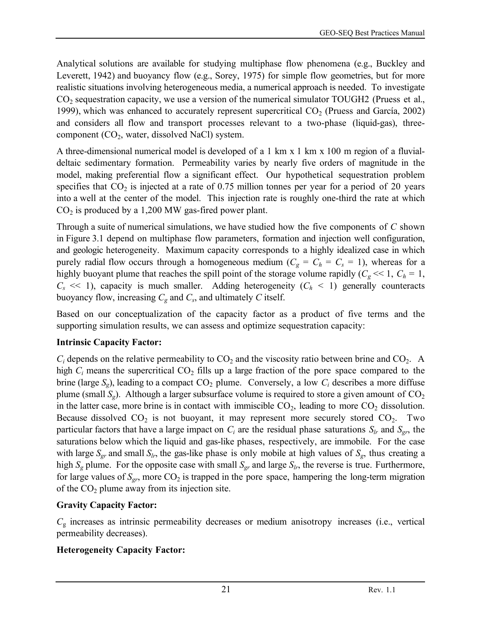Analytical solutions are available for studying multiphase flow phenomena (e.g., Buckley and Leverett, 1942) and buoyancy flow (e.g., Sorey, 1975) for simple flow geometries, but for more realistic situations involving heterogeneous media, a numerical approach is needed. To investigate  $CO<sub>2</sub>$  sequestration capacity, we use a version of the numerical simulator TOUGH2 (Pruess et al., 1999), which was enhanced to accurately represent supercritical  $CO<sub>2</sub>$  (Pruess and García, 2002) and considers all flow and transport processes relevant to a two-phase (liquid-gas), threecomponent  $(CO<sub>2</sub>, water, dissolved NaCl) system.$ 

A three-dimensional numerical model is developed of a 1 km x 1 km x 100 m region of a fluvialdeltaic sedimentary formation. Permeability varies by nearly five orders of magnitude in the model, making preferential flow a significant effect. Our hypothetical sequestration problem specifies that  $CO<sub>2</sub>$  is injected at a rate of 0.75 million tonnes per year for a period of 20 years into a well at the center of the model. This injection rate is roughly one-third the rate at which  $CO<sub>2</sub>$  is produced by a 1,200 MW gas-fired power plant.

Through a suite of numerical simulations, we have studied how the five components of *C* shown in Figure 3.1 depend on multiphase flow parameters, formation and injection well configuration, and geologic heterogeneity. Maximum capacity corresponds to a highly idealized case in which purely radial flow occurs through a homogeneous medium ( $C_g = C_h = C_s = 1$ ), whereas for a highly buoyant plume that reaches the spill point of the storage volume rapidly ( $C_g \ll 1$ ,  $C_h = 1$ ,  $C_s \ll 1$ , capacity is much smaller. Adding heterogeneity  $(C_h \leq 1)$  generally counteracts buoyancy flow, increasing  $C_g$  and  $C_s$ , and ultimately *C* itself.

Based on our conceptualization of the capacity factor as a product of five terms and the supporting simulation results, we can assess and optimize sequestration capacity:

#### **Intrinsic Capacity Factor:**

 $C_i$  depends on the relative permeability to  $CO_2$  and the viscosity ratio between brine and  $CO_2$ . A high  $C_i$  means the supercritical  $CO_2$  fills up a large fraction of the pore space compared to the brine (large  $S_g$ ), leading to a compact  $CO_2$  plume. Conversely, a low  $C_i$  describes a more diffuse plume (small  $S_g$ ). Although a larger subsurface volume is required to store a given amount of  $CO_2$ in the latter case, more brine is in contact with immiscible  $CO<sub>2</sub>$ , leading to more  $CO<sub>2</sub>$  dissolution. Because dissolved  $CO_2$  is not buoyant, it may represent more securely stored  $CO_2$ . Two particular factors that have a large impact on  $C_i$  are the residual phase saturations  $S_{lr}$  and  $S_{gr}$ , the saturations below which the liquid and gas-like phases, respectively, are immobile. For the case with large  $S_{gr}$  and small  $S_{lr}$ , the gas-like phase is only mobile at high values of  $S_g$ , thus creating a high  $S_g$  plume. For the opposite case with small  $S_{gr}$  and large  $S_l$ , the reverse is true. Furthermore, for large values of  $S_{gr}$ , more  $CO_2$  is trapped in the pore space, hampering the long-term migration of the  $CO<sub>2</sub>$  plume away from its injection site.

#### **Gravity Capacity Factor:**

 $C_{\rm g}$  increases as intrinsic permeability decreases or medium anisotropy increases (i.e., vertical permeability decreases).

#### **Heterogeneity Capacity Factor:**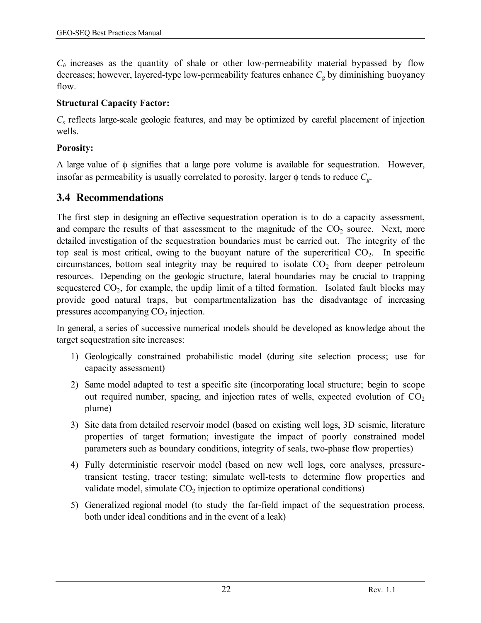$C_h$  increases as the quantity of shale or other low-permeability material bypassed by flow decreases; however, layered-type low-permeability features enhance  $C_g$  by diminishing buoyancy flow.

#### **Structural Capacity Factor:**

*Cs* reflects large-scale geologic features, and may be optimized by careful placement of injection wells.

#### **Porosity:**

A large value of φ signifies that a large pore volume is available for sequestration. However, insofar as permeability is usually correlated to porosity, larger φ tends to reduce *Cg*.

## **3.4 Recommendations**

The first step in designing an effective sequestration operation is to do a capacity assessment, and compare the results of that assessment to the magnitude of the  $CO<sub>2</sub>$  source. Next, more detailed investigation of the sequestration boundaries must be carried out. The integrity of the top seal is most critical, owing to the buoyant nature of the supercritical  $CO<sub>2</sub>$ . In specific circumstances, bottom seal integrity may be required to isolate  $CO<sub>2</sub>$  from deeper petroleum resources. Depending on the geologic structure, lateral boundaries may be crucial to trapping sequestered  $CO<sub>2</sub>$ , for example, the updip limit of a tilted formation. Isolated fault blocks may provide good natural traps, but compartmentalization has the disadvantage of increasing pressures accompanying  $CO<sub>2</sub>$  injection.

In general, a series of successive numerical models should be developed as knowledge about the target sequestration site increases:

- 1) Geologically constrained probabilistic model (during site selection process; use for capacity assessment)
- 2) Same model adapted to test a specific site (incorporating local structure; begin to scope out required number, spacing, and injection rates of wells, expected evolution of  $CO<sub>2</sub>$ plume)
- 3) Site data from detailed reservoir model (based on existing well logs, 3D seismic, literature properties of target formation; investigate the impact of poorly constrained model parameters such as boundary conditions, integrity of seals, two-phase flow properties)
- 4) Fully deterministic reservoir model (based on new well logs, core analyses, pressuretransient testing, tracer testing; simulate well-tests to determine flow properties and validate model, simulate  $CO<sub>2</sub>$  injection to optimize operational conditions)
- 5) Generalized regional model (to study the far-field impact of the sequestration process, both under ideal conditions and in the event of a leak)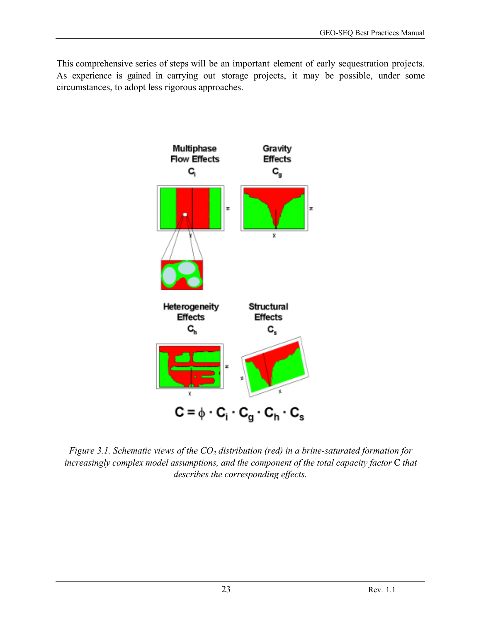This comprehensive series of steps will be an important element of early sequestration projects. As experience is gained in carrying out storage projects, it may be possible, under some circumstances, to adopt less rigorous approaches.



*Figure 3.1. Schematic views of the CO<sub>2</sub> distribution (red) in a brine-saturated formation for increasingly complex model assumptions, and the component of the total capacity factor* C that *describes the corresponding effects.*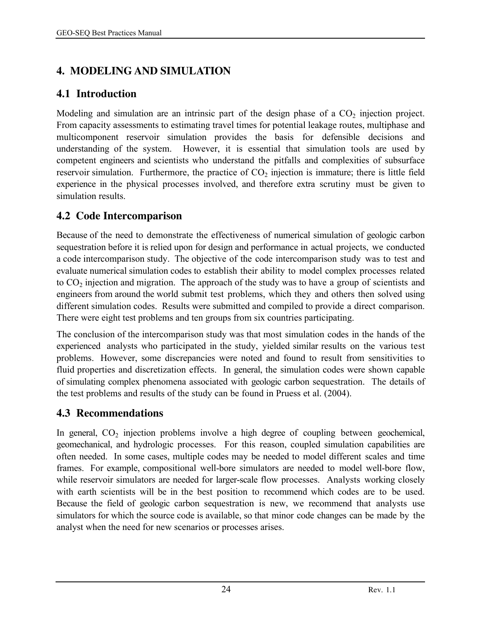# **4. MODELING AND SIMULATION**

## **4.1 Introduction**

Modeling and simulation are an intrinsic part of the design phase of a  $CO<sub>2</sub>$  injection project. From capacity assessments to estimating travel times for potential leakage routes, multiphase and multicomponent reservoir simulation provides the basis for defensible decisions and understanding of the system. However, it is essential that simulation tools are used by competent engineers and scientists who understand the pitfalls and complexities of subsurface reservoir simulation. Furthermore, the practice of  $CO<sub>2</sub>$  injection is immature; there is little field experience in the physical processes involved, and therefore extra scrutiny must be given to simulation results.

# **4.2 Code Intercomparison**

Because of the need to demonstrate the effectiveness of numerical simulation of geologic carbon sequestration before it is relied upon for design and performance in actual projects, we conducted a code intercomparison study. The objective of the code intercomparison study was to test and evaluate numerical simulation codes to establish their ability to model complex processes related to CO2 injection and migration. The approach of the study was to have a group of scientists and engineers from around the world submit test problems, which they and others then solved using different simulation codes. Results were submitted and compiled to provide a direct comparison. There were eight test problems and ten groups from six countries participating.

The conclusion of the intercomparison study was that most simulation codes in the hands of the experienced analysts who participated in the study, yielded similar results on the various test problems. However, some discrepancies were noted and found to result from sensitivities to fluid properties and discretization effects. In general, the simulation codes were shown capable of simulating complex phenomena associated with geologic carbon sequestration. The details of the test problems and results of the study can be found in Pruess et al. (2004).

## **4.3 Recommendations**

In general,  $CO<sub>2</sub>$  injection problems involve a high degree of coupling between geochemical, geomechanical, and hydrologic processes. For this reason, coupled simulation capabilities are often needed. In some cases, multiple codes may be needed to model different scales and time frames. For example, compositional well-bore simulators are needed to model well-bore flow, while reservoir simulators are needed for larger-scale flow processes. Analysts working closely with earth scientists will be in the best position to recommend which codes are to be used. Because the field of geologic carbon sequestration is new, we recommend that analysts use simulators for which the source code is available, so that minor code changes can be made by the analyst when the need for new scenarios or processes arises.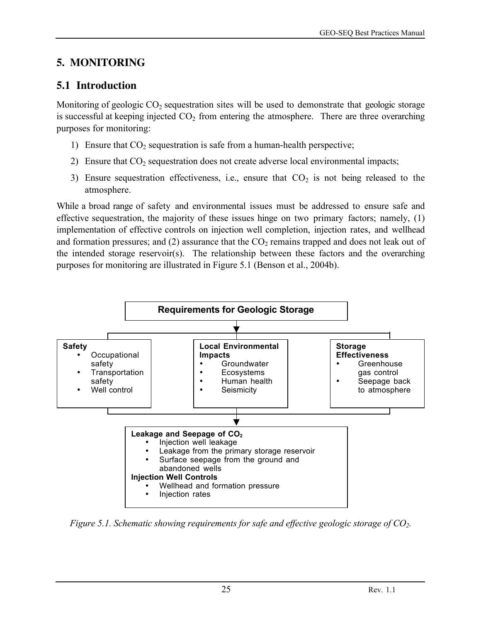# **5. MONITORING**

# **5.1 Introduction**

Monitoring of geologic  $CO<sub>2</sub>$  sequestration sites will be used to demonstrate that geologic storage is successful at keeping injected  $CO<sub>2</sub>$  from entering the atmosphere. There are three overarching purposes for monitoring:

- 1) Ensure that  $CO<sub>2</sub>$  sequestration is safe from a human-health perspective;
- 2) Ensure that  $CO<sub>2</sub>$  sequestration does not create adverse local environmental impacts;
- 3) Ensure sequestration effectiveness, i.e., ensure that  $CO<sub>2</sub>$  is not being released to the atmosphere.

While a broad range of safety and environmental issues must be addressed to ensure safe and effective sequestration, the majority of these issues hinge on two primary factors; namely, (1) implementation of effective controls on injection well completion, injection rates, and wellhead and formation pressures; and (2) assurance that the  $CO<sub>2</sub>$  remains trapped and does not leak out of the intended storage reservoir(s). The relationship between these factors and the overarching purposes for monitoring are illustrated in Figure 5.1 (Benson et al., 2004b).



*Figure 5.1. Schematic showing requirements for safe and effective geologic storage of CO2.*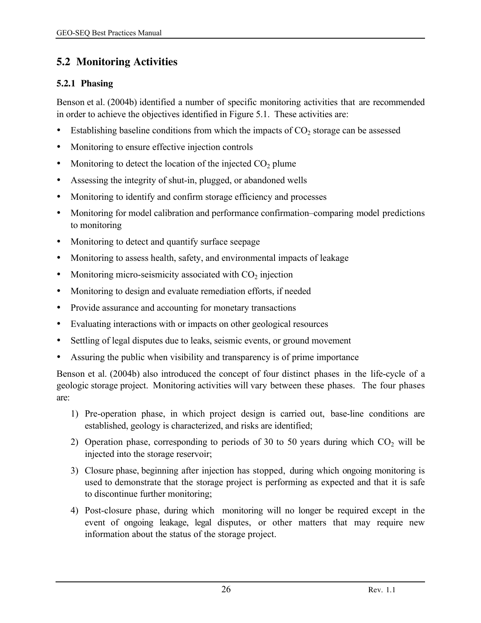## **5.2 Monitoring Activities**

#### **5.2.1 Phasing**

Benson et al. (2004b) identified a number of specific monitoring activities that are recommended in order to achieve the objectives identified in Figure 5.1. These activities are:

- Establishing baseline conditions from which the impacts of  $CO<sub>2</sub>$  storage can be assessed
- Monitoring to ensure effective injection controls
- Monitoring to detect the location of the injected  $CO<sub>2</sub>$  plume
- Assessing the integrity of shut-in, plugged, or abandoned wells
- Monitoring to identify and confirm storage efficiency and processes
- Monitoring for model calibration and performance confirmation–comparing model predictions to monitoring
- Monitoring to detect and quantify surface seepage
- Monitoring to assess health, safety, and environmental impacts of leakage
- Monitoring micro-seismicity associated with  $CO<sub>2</sub>$  injection
- Monitoring to design and evaluate remediation efforts, if needed
- Provide assurance and accounting for monetary transactions
- Evaluating interactions with or impacts on other geological resources
- Settling of legal disputes due to leaks, seismic events, or ground movement
- Assuring the public when visibility and transparency is of prime importance

Benson et al. (2004b) also introduced the concept of four distinct phases in the life-cycle of a geologic storage project. Monitoring activities will vary between these phases. The four phases are:

- 1) Pre-operation phase, in which project design is carried out, base-line conditions are established, geology is characterized, and risks are identified;
- 2) Operation phase, corresponding to periods of 30 to 50 years during which  $CO<sub>2</sub>$  will be injected into the storage reservoir;
- 3) Closure phase, beginning after injection has stopped, during which ongoing monitoring is used to demonstrate that the storage project is performing as expected and that it is safe to discontinue further monitoring;
- 4) Post-closure phase, during which monitoring will no longer be required except in the event of ongoing leakage, legal disputes, or other matters that may require new information about the status of the storage project.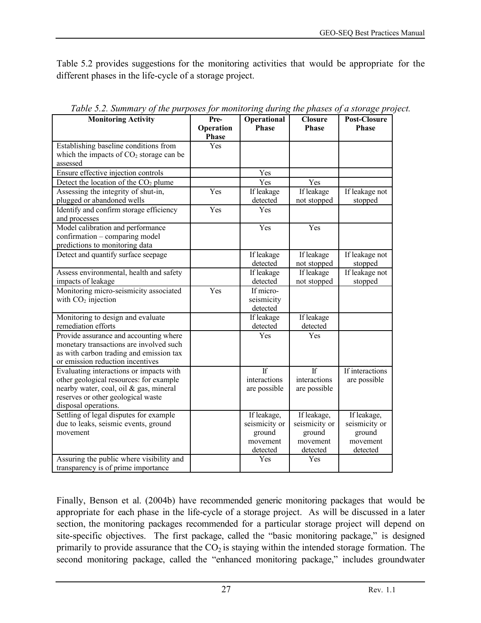Table 5.2 provides suggestions for the monitoring activities that would be appropriate for the different phases in the life-cycle of a storage project.

| <b>Monitoring Activity</b>                                                                                                                                                                 | Pre-<br>Operation<br>Phase | Operational<br><b>Phase</b>                                    | <b>Closure</b><br><b>Phase</b>                                 | <b>Post-Closure</b><br><b>Phase</b>                            |
|--------------------------------------------------------------------------------------------------------------------------------------------------------------------------------------------|----------------------------|----------------------------------------------------------------|----------------------------------------------------------------|----------------------------------------------------------------|
| Establishing baseline conditions from<br>which the impacts of $CO2$ storage can be<br>assessed                                                                                             | Yes                        |                                                                |                                                                |                                                                |
| Ensure effective injection controls                                                                                                                                                        |                            | Yes                                                            |                                                                |                                                                |
| Detect the location of the $CO2$ plume                                                                                                                                                     |                            | Yes                                                            | Yes                                                            |                                                                |
| Assessing the integrity of shut-in,<br>plugged or abandoned wells                                                                                                                          | Yes                        | If leakage<br>detected                                         | If leakage<br>not stopped                                      | If leakage not<br>stopped                                      |
| Identify and confirm storage efficiency<br>and processes                                                                                                                                   | Yes                        | Yes                                                            |                                                                |                                                                |
| Model calibration and performance<br>confirmation – comparing model<br>predictions to monitoring data                                                                                      |                            | Yes                                                            | Yes                                                            |                                                                |
| Detect and quantify surface seepage                                                                                                                                                        |                            | If leakage<br>detected                                         | If leakage<br>not stopped                                      | If leakage not<br>stopped                                      |
| Assess environmental, health and safety<br>impacts of leakage                                                                                                                              |                            | If leakage<br>detected                                         | If leakage<br>not stopped                                      | If leakage not<br>stopped                                      |
| Monitoring micro-seismicity associated<br>with $CO2$ injection                                                                                                                             | Yes                        | If micro-<br>seismicity<br>detected                            |                                                                |                                                                |
| Monitoring to design and evaluate<br>remediation efforts                                                                                                                                   |                            | If leakage<br>detected                                         | If leakage<br>detected                                         |                                                                |
| Provide assurance and accounting where<br>monetary transactions are involved such<br>as with carbon trading and emission tax<br>or emission reduction incentives                           |                            | Yes                                                            | Yes                                                            |                                                                |
| Evaluating interactions or impacts with<br>other geological resources: for example<br>nearby water, coal, oil & gas, mineral<br>reserves or other geological waste<br>disposal operations. |                            | $\overline{\text{If}}$<br>interactions<br>are possible         | $\overline{\text{If}}$<br>interactions<br>are possible         | If interactions<br>are possible                                |
| Settling of legal disputes for example<br>due to leaks, seismic events, ground<br>movement                                                                                                 |                            | If leakage,<br>seismicity or<br>ground<br>movement<br>detected | If leakage,<br>seismicity or<br>ground<br>movement<br>detected | If leakage,<br>seismicity or<br>ground<br>movement<br>detected |
| Assuring the public where visibility and<br>transparency is of prime importance                                                                                                            |                            | Yes                                                            | Yes                                                            |                                                                |

*Table 5.2. Summary of the purposes for monitoring during the phases of a storage project.*

Finally, Benson et al. (2004b) have recommended generic monitoring packages that would be appropriate for each phase in the life-cycle of a storage project. As will be discussed in a later section, the monitoring packages recommended for a particular storage project will depend on site-specific objectives. The first package, called the "basic monitoring package," is designed primarily to provide assurance that the  $CO<sub>2</sub>$  is staying within the intended storage formation. The second monitoring package, called the "enhanced monitoring package," includes groundwater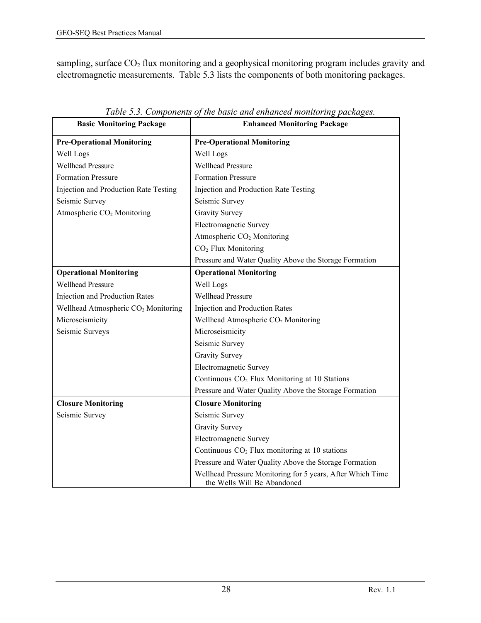sampling, surface CO<sub>2</sub> flux monitoring and a geophysical monitoring program includes gravity and electromagnetic measurements. Table 5.3 lists the components of both monitoring packages.

| <b>Basic Monitoring Package</b>                 | <b>Enhanced Monitoring Package</b>                                                        |
|-------------------------------------------------|-------------------------------------------------------------------------------------------|
| <b>Pre-Operational Monitoring</b>               | <b>Pre-Operational Monitoring</b>                                                         |
| Well Logs                                       | Well Logs                                                                                 |
| <b>Wellhead Pressure</b>                        | <b>Wellhead Pressure</b>                                                                  |
| <b>Formation Pressure</b>                       | <b>Formation Pressure</b>                                                                 |
| Injection and Production Rate Testing           | Injection and Production Rate Testing                                                     |
| Seismic Survey                                  | Seismic Survey                                                                            |
| Atmospheric CO <sub>2</sub> Monitoring          | <b>Gravity Survey</b>                                                                     |
|                                                 | Electromagnetic Survey                                                                    |
|                                                 | Atmospheric CO <sub>2</sub> Monitoring                                                    |
|                                                 | CO <sub>2</sub> Flux Monitoring                                                           |
|                                                 | Pressure and Water Quality Above the Storage Formation                                    |
| <b>Operational Monitoring</b>                   | <b>Operational Monitoring</b>                                                             |
| <b>Wellhead Pressure</b>                        | Well Logs                                                                                 |
| Injection and Production Rates                  | <b>Wellhead Pressure</b>                                                                  |
| Wellhead Atmospheric CO <sub>2</sub> Monitoring | Injection and Production Rates                                                            |
| Microseismicity                                 | Wellhead Atmospheric CO <sub>2</sub> Monitoring                                           |
| Seismic Surveys                                 | Microseismicity                                                                           |
|                                                 | Seismic Survey                                                                            |
|                                                 | <b>Gravity Survey</b>                                                                     |
|                                                 | Electromagnetic Survey                                                                    |
|                                                 | Continuous CO <sub>2</sub> Flux Monitoring at 10 Stations                                 |
|                                                 | Pressure and Water Quality Above the Storage Formation                                    |
| <b>Closure Monitoring</b>                       | <b>Closure Monitoring</b>                                                                 |
| Seismic Survey                                  | Seismic Survey                                                                            |
|                                                 | <b>Gravity Survey</b>                                                                     |
|                                                 | Electromagnetic Survey                                                                    |
|                                                 | Continuous $CO2$ Flux monitoring at 10 stations                                           |
|                                                 | Pressure and Water Quality Above the Storage Formation                                    |
|                                                 | Wellhead Pressure Monitoring for 5 years, After Which Time<br>the Wells Will Be Abandoned |

*Table 5.3. Components of the basic and enhanced monitoring packages.*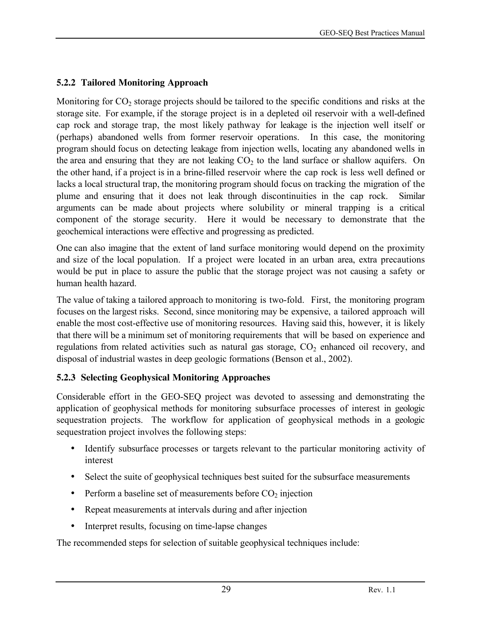#### **5.2.2 Tailored Monitoring Approach**

Monitoring for  $CO<sub>2</sub>$  storage projects should be tailored to the specific conditions and risks at the storage site. For example, if the storage project is in a depleted oil reservoir with a well-defined cap rock and storage trap, the most likely pathway for leakage is the injection well itself or (perhaps) abandoned wells from former reservoir operations. In this case, the monitoring program should focus on detecting leakage from injection wells, locating any abandoned wells in the area and ensuring that they are not leaking  $CO<sub>2</sub>$  to the land surface or shallow aquifers. On the other hand, if a project is in a brine-filled reservoir where the cap rock is less well defined or lacks a local structural trap, the monitoring program should focus on tracking the migration of the plume and ensuring that it does not leak through discontinuities in the cap rock. Similar arguments can be made about projects where solubility or mineral trapping is a critical component of the storage security. Here it would be necessary to demonstrate that the geochemical interactions were effective and progressing as predicted.

One can also imagine that the extent of land surface monitoring would depend on the proximity and size of the local population. If a project were located in an urban area, extra precautions would be put in place to assure the public that the storage project was not causing a safety or human health hazard.

The value of taking a tailored approach to monitoring is two-fold. First, the monitoring program focuses on the largest risks. Second, since monitoring may be expensive, a tailored approach will enable the most cost-effective use of monitoring resources. Having said this, however, it is likely that there will be a minimum set of monitoring requirements that will be based on experience and regulations from related activities such as natural gas storage,  $CO<sub>2</sub>$  enhanced oil recovery, and disposal of industrial wastes in deep geologic formations (Benson et al., 2002).

#### **5.2.3 Selecting Geophysical Monitoring Approaches**

Considerable effort in the GEO-SEQ project was devoted to assessing and demonstrating the application of geophysical methods for monitoring subsurface processes of interest in geologic sequestration projects. The workflow for application of geophysical methods in a geologic sequestration project involves the following steps:

- Identify subsurface processes or targets relevant to the particular monitoring activity of interest
- Select the suite of geophysical techniques best suited for the subsurface measurements
- Perform a baseline set of measurements before  $CO<sub>2</sub>$  injection
- Repeat measurements at intervals during and after injection
- Interpret results, focusing on time-lapse changes

The recommended steps for selection of suitable geophysical techniques include: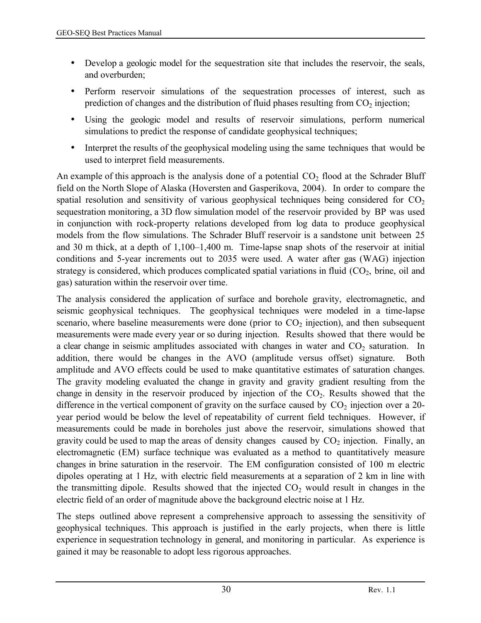- Develop a geologic model for the sequestration site that includes the reservoir, the seals, and overburden;
- Perform reservoir simulations of the sequestration processes of interest, such as prediction of changes and the distribution of fluid phases resulting from  $CO<sub>2</sub>$  injection;
- Using the geologic model and results of reservoir simulations, perform numerical simulations to predict the response of candidate geophysical techniques;
- Interpret the results of the geophysical modeling using the same techniques that would be used to interpret field measurements.

An example of this approach is the analysis done of a potential  $CO<sub>2</sub>$  flood at the Schrader Bluff field on the North Slope of Alaska (Hoversten and Gasperikova, 2004). In order to compare the spatial resolution and sensitivity of various geophysical techniques being considered for  $CO<sub>2</sub>$ sequestration monitoring, a 3D flow simulation model of the reservoir provided by BP was used in conjunction with rock-property relations developed from log data to produce geophysical models from the flow simulations. The Schrader Bluff reservoir is a sandstone unit between 25 and 30 m thick, at a depth of 1,100–1,400 m. Time-lapse snap shots of the reservoir at initial conditions and 5-year increments out to 2035 were used. A water after gas (WAG) injection strategy is considered, which produces complicated spatial variations in fluid  $(CO<sub>2</sub>)$ , brine, oil and gas) saturation within the reservoir over time.

The analysis considered the application of surface and borehole gravity, electromagnetic, and seismic geophysical techniques. The geophysical techniques were modeled in a time-lapse scenario, where baseline measurements were done (prior to  $CO<sub>2</sub>$  injection), and then subsequent measurements were made every year or so during injection. Results showed that there would be a clear change in seismic amplitudes associated with changes in water and  $CO<sub>2</sub>$  saturation. In addition, there would be changes in the AVO (amplitude versus offset) signature. Both amplitude and AVO effects could be used to make quantitative estimates of saturation changes. The gravity modeling evaluated the change in gravity and gravity gradient resulting from the change in density in the reservoir produced by injection of the  $CO<sub>2</sub>$ . Results showed that the difference in the vertical component of gravity on the surface caused by  $CO<sub>2</sub>$  injection over a 20year period would be below the level of repeatability of current field techniques. However, if measurements could be made in boreholes just above the reservoir, simulations showed that gravity could be used to map the areas of density changes caused by  $CO<sub>2</sub>$  injection. Finally, an electromagnetic (EM) surface technique was evaluated as a method to quantitatively measure changes in brine saturation in the reservoir. The EM configuration consisted of 100 m electric dipoles operating at 1 Hz, with electric field measurements at a separation of 2 km in line with the transmitting dipole. Results showed that the injected  $CO<sub>2</sub>$  would result in changes in the electric field of an order of magnitude above the background electric noise at 1 Hz.

The steps outlined above represent a comprehensive approach to assessing the sensitivity of geophysical techniques. This approach is justified in the early projects, when there is little experience in sequestration technology in general, and monitoring in particular. As experience is gained it may be reasonable to adopt less rigorous approaches.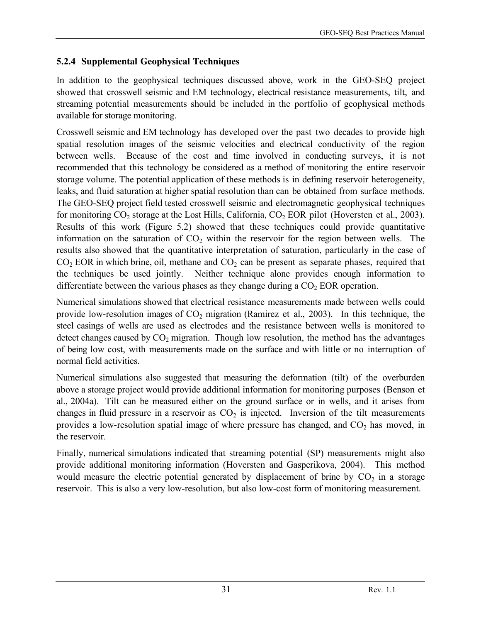### **5.2.4 Supplemental Geophysical Techniques**

In addition to the geophysical techniques discussed above, work in the GEO-SEQ project showed that crosswell seismic and EM technology, electrical resistance measurements, tilt, and streaming potential measurements should be included in the portfolio of geophysical methods available for storage monitoring.

Crosswell seismic and EM technology has developed over the past two decades to provide high spatial resolution images of the seismic velocities and electrical conductivity of the region between wells. Because of the cost and time involved in conducting surveys, it is not recommended that this technology be considered as a method of monitoring the entire reservoir storage volume. The potential application of these methods is in defining reservoir heterogeneity, leaks, and fluid saturation at higher spatial resolution than can be obtained from surface methods. The GEO-SEQ project field tested crosswell seismic and electromagnetic geophysical techniques for monitoring  $CO_2$  storage at the Lost Hills, California,  $CO_2$  EOR pilot (Hoversten et al., 2003). Results of this work (Figure 5.2) showed that these techniques could provide quantitative information on the saturation of  $CO<sub>2</sub>$  within the reservoir for the region between wells. The results also showed that the quantitative interpretation of saturation, particularly in the case of  $CO<sub>2</sub> EOR$  in which brine, oil, methane and  $CO<sub>2</sub>$  can be present as separate phases, required that the techniques be used jointly. Neither technique alone provides enough information to differentiate between the various phases as they change during a  $CO<sub>2</sub> EOR$  operation.

Numerical simulations showed that electrical resistance measurements made between wells could provide low-resolution images of  $CO<sub>2</sub>$  migration (Ramirez et al., 2003). In this technique, the steel casings of wells are used as electrodes and the resistance between wells is monitored to detect changes caused by  $CO<sub>2</sub>$  migration. Though low resolution, the method has the advantages of being low cost, with measurements made on the surface and with little or no interruption of normal field activities.

Numerical simulations also suggested that measuring the deformation (tilt) of the overburden above a storage project would provide additional information for monitoring purposes (Benson et al., 2004a). Tilt can be measured either on the ground surface or in wells, and it arises from changes in fluid pressure in a reservoir as  $CO<sub>2</sub>$  is injected. Inversion of the tilt measurements provides a low-resolution spatial image of where pressure has changed, and  $CO<sub>2</sub>$  has moved, in the reservoir.

Finally, numerical simulations indicated that streaming potential (SP) measurements might also provide additional monitoring information (Hoversten and Gasperikova, 2004). This method would measure the electric potential generated by displacement of brine by  $CO<sub>2</sub>$  in a storage reservoir. This is also a very low-resolution, but also low-cost form of monitoring measurement.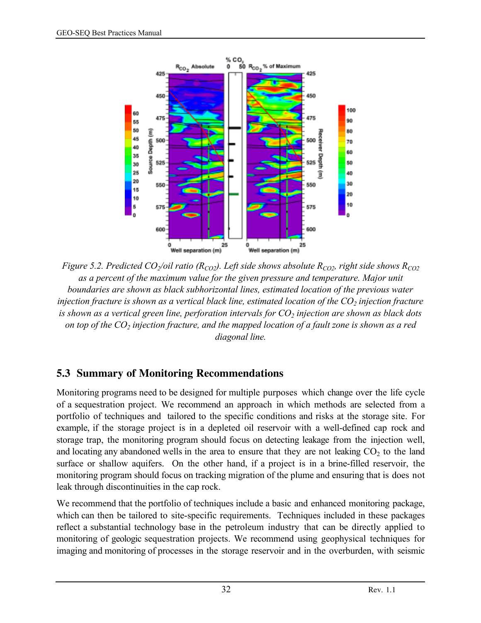

*Figure 5.2. Predicted CO<sub>2</sub>/oil ratio (R<sub>CO2</sub>). Left side shows absolute R<sub>CO2</sub>, right side shows R<sub>CO2</sub> as a percent of the maximum value for the given pressure and temperature. Major unit boundaries are shown as black subhorizontal lines, estimated location of the previous water injection fracture is shown as a vertical black line, estimated location of the*  $CO_2$  *injection fracture* is shown as a vertical green line, perforation intervals for  $CO<sub>2</sub>$  injection are shown as black dots *on top of the CO2 injection fracture, and the mapped location of a fault zone is shown as a red diagonal line.*

# **5.3 Summary of Monitoring Recommendations**

Monitoring programs need to be designed for multiple purposes which change over the life cycle of a sequestration project. We recommend an approach in which methods are selected from a portfolio of techniques and tailored to the specific conditions and risks at the storage site. For example, if the storage project is in a depleted oil reservoir with a well-defined cap rock and storage trap, the monitoring program should focus on detecting leakage from the injection well, and locating any abandoned wells in the area to ensure that they are not leaking  $CO<sub>2</sub>$  to the land surface or shallow aquifers. On the other hand, if a project is in a brine-filled reservoir, the monitoring program should focus on tracking migration of the plume and ensuring that is does not leak through discontinuities in the cap rock.

We recommend that the portfolio of techniques include a basic and enhanced monitoring package, which can then be tailored to site-specific requirements. Techniques included in these packages reflect a substantial technology base in the petroleum industry that can be directly applied to monitoring of geologic sequestration projects. We recommend using geophysical techniques for imaging and monitoring of processes in the storage reservoir and in the overburden, with seismic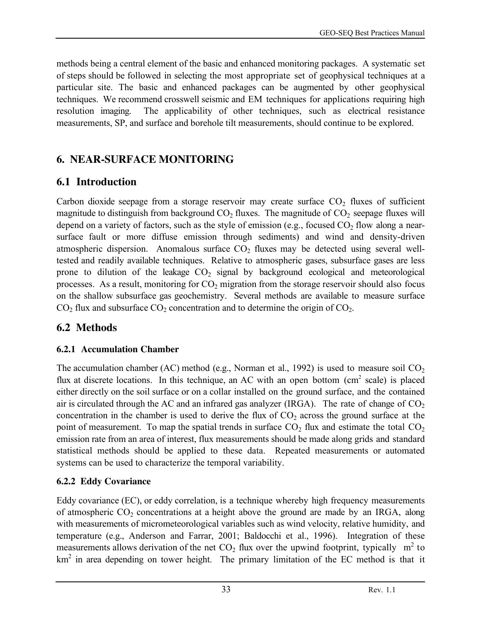methods being a central element of the basic and enhanced monitoring packages. A systematic set of steps should be followed in selecting the most appropriate set of geophysical techniques at a particular site. The basic and enhanced packages can be augmented by other geophysical techniques. We recommend crosswell seismic and EM techniques for applications requiring high resolution imaging. The applicability of other techniques, such as electrical resistance measurements, SP, and surface and borehole tilt measurements, should continue to be explored.

# **6. NEAR-SURFACE MONITORING**

# **6.1 Introduction**

Carbon dioxide seepage from a storage reservoir may create surface  $CO<sub>2</sub>$  fluxes of sufficient magnitude to distinguish from background  $CO<sub>2</sub>$  fluxes. The magnitude of  $CO<sub>2</sub>$  seepage fluxes will depend on a variety of factors, such as the style of emission (e.g., focused  $CO<sub>2</sub>$ ) flow along a nearsurface fault or more diffuse emission through sediments) and wind and density-driven atmospheric dispersion. Anomalous surface  $CO<sub>2</sub>$  fluxes may be detected using several welltested and readily available techniques. Relative to atmospheric gases, subsurface gases are less prone to dilution of the leakage  $CO<sub>2</sub>$  signal by background ecological and meteorological processes. As a result, monitoring for  $CO<sub>2</sub>$  migration from the storage reservoir should also focus on the shallow subsurface gas geochemistry. Several methods are available to measure surface  $CO<sub>2</sub>$  flux and subsurface  $CO<sub>2</sub>$  concentration and to determine the origin of  $CO<sub>2</sub>$ .

# **6.2 Methods**

## **6.2.1 Accumulation Chamber**

The accumulation chamber (AC) method (e.g., Norman et al., 1992) is used to measure soil  $CO<sub>2</sub>$ flux at discrete locations. In this technique, an AC with an open bottom  $(cm<sup>2</sup> scale)$  is placed either directly on the soil surface or on a collar installed on the ground surface, and the contained air is circulated through the AC and an infrared gas analyzer (IRGA). The rate of change of  $CO<sub>2</sub>$ concentration in the chamber is used to derive the flux of  $CO<sub>2</sub>$  across the ground surface at the point of measurement. To map the spatial trends in surface  $CO<sub>2</sub>$  flux and estimate the total  $CO<sub>2</sub>$ emission rate from an area of interest, flux measurements should be made along grids and standard statistical methods should be applied to these data. Repeated measurements or automated systems can be used to characterize the temporal variability.

## **6.2.2 Eddy Covariance**

Eddy covariance (EC), or eddy correlation, is a technique whereby high frequency measurements of atmospheric  $CO_2$  concentrations at a height above the ground are made by an IRGA, along with measurements of micrometeorological variables such as wind velocity, relative humidity, and temperature (e.g., Anderson and Farrar, 2001; Baldocchi et al., 1996). Integration of these measurements allows derivation of the net  $CO<sub>2</sub>$  flux over the upwind footprint, typically  $m<sup>2</sup>$  to  $km<sup>2</sup>$  in area depending on tower height. The primary limitation of the EC method is that it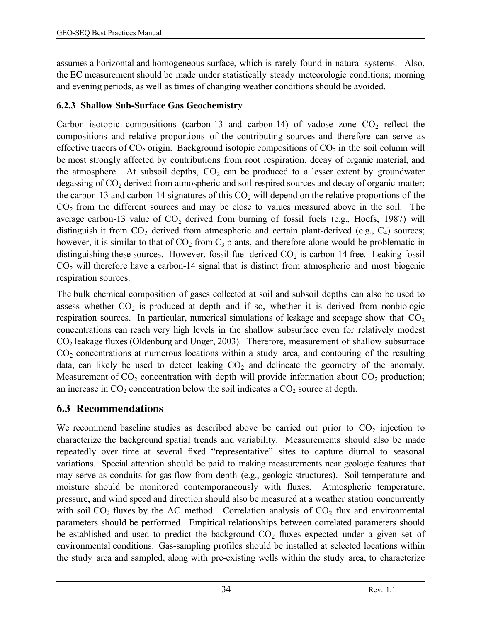assumes a horizontal and homogeneous surface, which is rarely found in natural systems. Also, the EC measurement should be made under statistically steady meteorologic conditions; morning and evening periods, as well as times of changing weather conditions should be avoided.

#### **6.2.3 Shallow Sub-Surface Gas Geochemistry**

Carbon isotopic compositions (carbon-13 and carbon-14) of vadose zone  $CO_2$  reflect the compositions and relative proportions of the contributing sources and therefore can serve as effective tracers of  $CO_2$  origin. Background isotopic compositions of  $CO_2$  in the soil column will be most strongly affected by contributions from root respiration, decay of organic material, and the atmosphere. At subsoil depths,  $CO<sub>2</sub>$  can be produced to a lesser extent by groundwater degassing of  $CO<sub>2</sub>$  derived from atmospheric and soil-respired sources and decay of organic matter; the carbon-13 and carbon-14 signatures of this  $CO<sub>2</sub>$  will depend on the relative proportions of the  $CO<sub>2</sub>$  from the different sources and may be close to values measured above in the soil. The average carbon-13 value of  $CO<sub>2</sub>$  derived from burning of fossil fuels (e.g., Hoefs, 1987) will distinguish it from  $CO_2$  derived from atmospheric and certain plant-derived (e.g.,  $C_4$ ) sources; however, it is similar to that of  $CO<sub>2</sub>$  from  $C<sub>3</sub>$  plants, and therefore alone would be problematic in distinguishing these sources. However, fossil-fuel-derived  $CO<sub>2</sub>$  is carbon-14 free. Leaking fossil  $CO<sub>2</sub>$  will therefore have a carbon-14 signal that is distinct from atmospheric and most biogenic respiration sources.

The bulk chemical composition of gases collected at soil and subsoil depths can also be used to assess whether  $CO<sub>2</sub>$  is produced at depth and if so, whether it is derived from nonbiologic respiration sources. In particular, numerical simulations of leakage and seepage show that  $CO<sub>2</sub>$ concentrations can reach very high levels in the shallow subsurface even for relatively modest CO2 leakage fluxes (Oldenburg and Unger, 2003). Therefore, measurement of shallow subsurface  $CO<sub>2</sub>$  concentrations at numerous locations within a study area, and contouring of the resulting data, can likely be used to detect leaking  $CO<sub>2</sub>$  and delineate the geometry of the anomaly. Measurement of  $CO_2$  concentration with depth will provide information about  $CO_2$  production; an increase in  $CO_2$  concentration below the soil indicates a  $CO_2$  source at depth.

# **6.3 Recommendations**

We recommend baseline studies as described above be carried out prior to  $CO<sub>2</sub>$  injection to characterize the background spatial trends and variability. Measurements should also be made repeatedly over time at several fixed "representative" sites to capture diurnal to seasonal variations. Special attention should be paid to making measurements near geologic features that may serve as conduits for gas flow from depth (e.g., geologic structures). Soil temperature and moisture should be monitored contemporaneously with fluxes. Atmospheric temperature, pressure, and wind speed and direction should also be measured at a weather station concurrently with soil  $CO<sub>2</sub>$  fluxes by the AC method. Correlation analysis of  $CO<sub>2</sub>$  flux and environmental parameters should be performed. Empirical relationships between correlated parameters should be established and used to predict the background  $CO<sub>2</sub>$  fluxes expected under a given set of environmental conditions. Gas-sampling profiles should be installed at selected locations within the study area and sampled, along with pre-existing wells within the study area, to characterize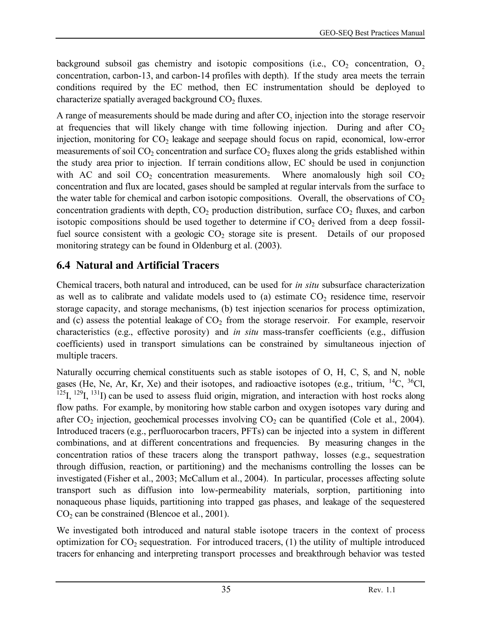background subsoil gas chemistry and isotopic compositions (i.e.,  $CO<sub>2</sub>$  concentration,  $O<sub>2</sub>$ concentration, carbon-13, and carbon-14 profiles with depth). If the study area meets the terrain conditions required by the EC method, then EC instrumentation should be deployed to characterize spatially averaged background  $CO<sub>2</sub>$  fluxes.

A range of measurements should be made during and after CO<sub>2</sub> injection into the storage reservoir at frequencies that will likely change with time following injection. During and after  $CO<sub>2</sub>$ injection, monitoring for  $CO<sub>2</sub>$  leakage and seepage should focus on rapid, economical, low-error measurements of soil  $CO_2$  concentration and surface  $CO_2$  fluxes along the grids established within the study area prior to injection. If terrain conditions allow, EC should be used in conjunction with AC and soil  $CO<sub>2</sub>$  concentration measurements. Where anomalously high soil  $CO<sub>2</sub>$ concentration and flux are located, gases should be sampled at regular intervals from the surface to the water table for chemical and carbon isotopic compositions. Overall, the observations of  $CO<sub>2</sub>$ concentration gradients with depth,  $CO<sub>2</sub>$  production distribution, surface  $CO<sub>2</sub>$  fluxes, and carbon isotopic compositions should be used together to determine if  $CO<sub>2</sub>$  derived from a deep fossilfuel source consistent with a geologic  $CO<sub>2</sub>$  storage site is present. Details of our proposed monitoring strategy can be found in Oldenburg et al. (2003).

# **6.4 Natural and Artificial Tracers**

Chemical tracers, both natural and introduced, can be used for *in situ* subsurface characterization as well as to calibrate and validate models used to (a) estimate  $CO<sub>2</sub>$  residence time, reservoir storage capacity, and storage mechanisms, (b) test injection scenarios for process optimization, and (c) assess the potential leakage of  $CO<sub>2</sub>$  from the storage reservoir. For example, reservoir characteristics (e.g., effective porosity) and *in situ* mass-transfer coefficients (e.g., diffusion coefficients) used in transport simulations can be constrained by simultaneous injection of multiple tracers.

Naturally occurring chemical constituents such as stable isotopes of O, H, C, S, and N, noble gases (He, Ne, Ar, Kr, Xe) and their isotopes, and radioactive isotopes (e.g., tritium, <sup>14</sup>C, <sup>36</sup>Cl,  $^{125}I$ ,  $^{129}I$ ,  $^{131}I$ ) can be used to assess fluid origin, migration, and interaction with host rocks along flow paths. For example, by monitoring how stable carbon and oxygen isotopes vary during and after  $CO_2$  injection, geochemical processes involving  $CO_2$  can be quantified (Cole et al., 2004). Introduced tracers (e.g., perfluorocarbon tracers, PFTs) can be injected into a system in different combinations, and at different concentrations and frequencies. By measuring changes in the concentration ratios of these tracers along the transport pathway, losses (e.g., sequestration through diffusion, reaction, or partitioning) and the mechanisms controlling the losses can be investigated (Fisher et al., 2003; McCallum et al., 2004). In particular, processes affecting solute transport such as diffusion into low-permeability materials, sorption, partitioning into nonaqueous phase liquids, partitioning into trapped gas phases, and leakage of the sequestered  $CO<sub>2</sub>$  can be constrained (Blencoe et al., 2001).

We investigated both introduced and natural stable isotope tracers in the context of process optimization for  $CO_2$  sequestration. For introduced tracers, (1) the utility of multiple introduced tracers for enhancing and interpreting transport processes and breakthrough behavior was tested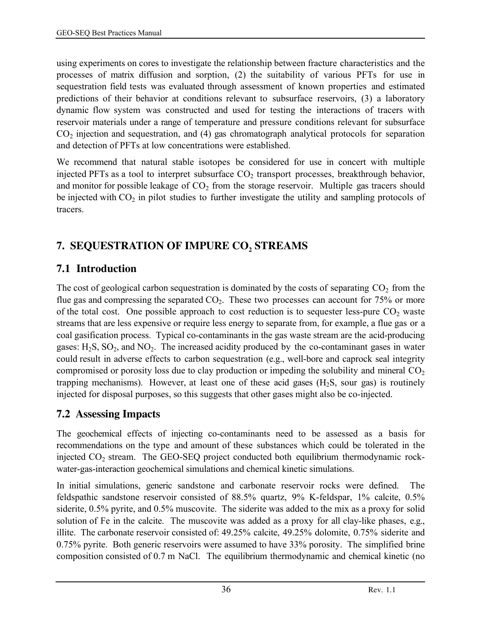using experiments on cores to investigate the relationship between fracture characteristics and the processes of matrix diffusion and sorption, (2) the suitability of various PFTs for use in sequestration field tests was evaluated through assessment of known properties and estimated predictions of their behavior at conditions relevant to subsurface reservoirs, (3) a laboratory dynamic flow system was constructed and used for testing the interactions of tracers with reservoir materials under a range of temperature and pressure conditions relevant for subsurface  $CO<sub>2</sub>$  injection and sequestration, and (4) gas chromatograph analytical protocols for separation and detection of PFTs at low concentrations were established.

We recommend that natural stable isotopes be considered for use in concert with multiple injected PFTs as a tool to interpret subsurface  $CO<sub>2</sub>$  transport processes, breakthrough behavior, and monitor for possible leakage of  $CO<sub>2</sub>$  from the storage reservoir. Multiple gas tracers should be injected with  $CO<sub>2</sub>$  in pilot studies to further investigate the utility and sampling protocols of tracers.

# **7. SEQUESTRATION OF IMPURE CO<sub>2</sub> STREAMS**

# **7.1 Introduction**

The cost of geological carbon sequestration is dominated by the costs of separating  $CO<sub>2</sub>$  from the flue gas and compressing the separated  $CO<sub>2</sub>$ . These two processes can account for 75% or more of the total cost. One possible approach to cost reduction is to sequester less-pure  $CO<sub>2</sub>$  waste streams that are less expensive or require less energy to separate from, for example, a flue gas or a coal gasification process. Typical co-contaminants in the gas waste stream are the acid-producing gases:  $H_2S$ ,  $SO_2$ , and  $NO_2$ . The increased acidity produced by the co-contaminant gases in water could result in adverse effects to carbon sequestration (e.g., well-bore and caprock seal integrity compromised or porosity loss due to clay production or impeding the solubility and mineral  $CO<sub>2</sub>$ trapping mechanisms). However, at least one of these acid gases  $(H<sub>2</sub>S$ , sour gas) is routinely injected for disposal purposes, so this suggests that other gases might also be co-injected.

# **7.2 Assessing Impacts**

The geochemical effects of injecting co-contaminants need to be assessed as a basis for recommendations on the type and amount of these substances which could be tolerated in the injected  $CO<sub>2</sub>$  stream. The GEO-SEQ project conducted both equilibrium thermodynamic rockwater-gas-interaction geochemical simulations and chemical kinetic simulations.

In initial simulations, generic sandstone and carbonate reservoir rocks were defined. The feldspathic sandstone reservoir consisted of 88.5% quartz, 9% K-feldspar, 1% calcite, 0.5% siderite, 0.5% pyrite, and 0.5% muscovite. The siderite was added to the mix as a proxy for solid solution of Fe in the calcite. The muscovite was added as a proxy for all clay-like phases, e.g., illite. The carbonate reservoir consisted of: 49.25% calcite, 49.25% dolomite, 0.75% siderite and 0.75% pyrite. Both generic reservoirs were assumed to have 33% porosity. The simplified brine composition consisted of 0.7 m NaCl. The equilibrium thermodynamic and chemical kinetic (no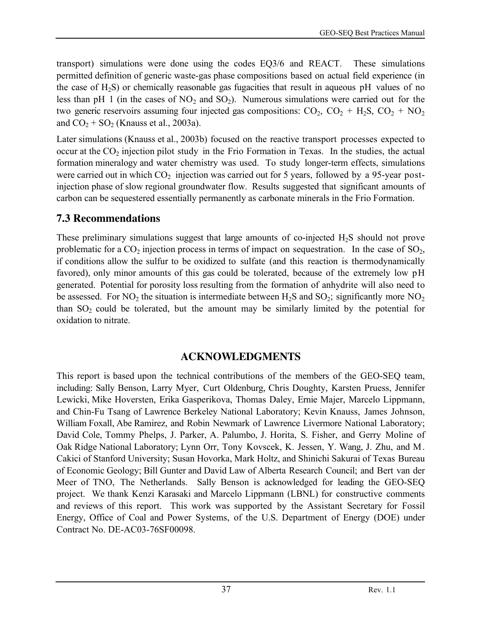transport) simulations were done using the codes EQ3/6 and REACT. These simulations permitted definition of generic waste-gas phase compositions based on actual field experience (in the case of  $H_2S$ ) or chemically reasonable gas fugacities that result in aqueous pH values of no less than pH 1 (in the cases of  $NO<sub>2</sub>$  and  $SO<sub>2</sub>$ ). Numerous simulations were carried out for the two generic reservoirs assuming four injected gas compositions:  $CO_2$ ,  $CO_2$  +  $H_2S$ ,  $CO_2$  +  $NO_2$ and  $CO<sub>2</sub> + SO<sub>2</sub>$  (Knauss et al., 2003a).

Later simulations (Knauss et al., 2003b) focused on the reactive transport processes expected to occur at the  $CO<sub>2</sub>$  injection pilot study in the Frio Formation in Texas. In the studies, the actual formation mineralogy and water chemistry was used. To study longer-term effects, simulations were carried out in which  $CO<sub>2</sub>$  injection was carried out for 5 years, followed by a 95-year postinjection phase of slow regional groundwater flow. Results suggested that significant amounts of carbon can be sequestered essentially permanently as carbonate minerals in the Frio Formation.

## **7.3 Recommendations**

These preliminary simulations suggest that large amounts of co-injected  $H_2S$  should not prove problematic for a  $CO_2$  injection process in terms of impact on sequestration. In the case of  $SO_2$ , if conditions allow the sulfur to be oxidized to sulfate (and this reaction is thermodynamically favored), only minor amounts of this gas could be tolerated, because of the extremely low pH generated. Potential for porosity loss resulting from the formation of anhydrite will also need to be assessed. For  $NO_2$  the situation is intermediate between  $H_2S$  and  $SO_2$ ; significantly more  $NO_2$ than  $SO<sub>2</sub>$  could be tolerated, but the amount may be similarly limited by the potential for oxidation to nitrate.

# **ACKNOWLEDGMENTS**

This report is based upon the technical contributions of the members of the GEO-SEQ team, including: Sally Benson, Larry Myer, Curt Oldenburg, Chris Doughty, Karsten Pruess, Jennifer Lewicki, Mike Hoversten, Erika Gasperikova, Thomas Daley, Ernie Majer, Marcelo Lippmann, and Chin-Fu Tsang of Lawrence Berkeley National Laboratory; Kevin Knauss, James Johnson, William Foxall, Abe Ramirez, and Robin Newmark of Lawrence Livermore National Laboratory; David Cole, Tommy Phelps, J. Parker, A. Palumbo, J. Horita, S. Fisher, and Gerry Moline of Oak Ridge National Laboratory; Lynn Orr, Tony Kovscek, K. Jessen, Y. Wang, J. Zhu, and M. Cakici of Stanford University; Susan Hovorka, Mark Holtz, and Shinichi Sakurai of Texas Bureau of Economic Geology; Bill Gunter and David Law of Alberta Research Council; and Bert van der Meer of TNO, The Netherlands. Sally Benson is acknowledged for leading the GEO-SEQ project. We thank Kenzi Karasaki and Marcelo Lippmann (LBNL) for constructive comments and reviews of this report. This work was supported by the Assistant Secretary for Fossil Energy, Office of Coal and Power Systems, of the U.S. Department of Energy (DOE) under Contract No. DE-AC03-76SF00098.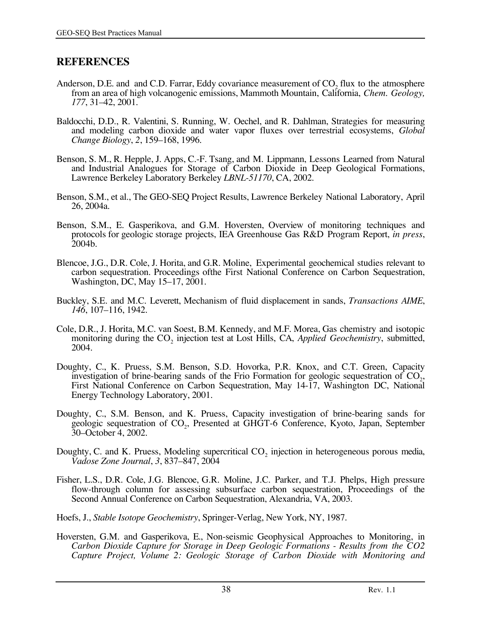### **REFERENCES**

- Anderson, D.E. and and C.D. Farrar, Eddy covariance measurement of  $CO<sub>2</sub>$  flux to the atmosphere from an area of high volcanogenic emissions, Mammoth Mountain, California, *Chem. Geology, 177*, 31–42, 2001.
- Baldocchi, D.D., R. Valentini, S. Running, W. Oechel, and R. Dahlman, Strategies for measuring and modeling carbon dioxide and water vapor fluxes over terrestrial ecosystems, *Global Change Biology*, *2*, 159–168, 1996.
- Benson, S. M., R. Hepple, J. Apps, C.-F. Tsang, and M. Lippmann, Lessons Learned from Natural and Industrial Analogues for Storage of Carbon Dioxide in Deep Geological Formations, Lawrence Berkeley Laboratory Berkeley *LBNL-51170*, CA, 2002.
- Benson, S.M., et al., The GEO-SEQ Project Results, Lawrence Berkeley National Laboratory, April 26, 2004a.
- Benson, S.M., E. Gasperikova, and G.M. Hoversten, Overview of monitoring techniques and protocols for geologic storage projects, IEA Greenhouse Gas R&D Program Report, *in press*, 2004b.
- Blencoe, J.G., D.R. Cole, J. Horita, and G.R. Moline, Experimental geochemical studies relevant to carbon sequestration. Proceedings ofthe First National Conference on Carbon Sequestration, Washington, DC, May 15–17, 2001.
- Buckley, S.E. and M.C. Leverett, Mechanism of fluid displacement in sands, *Transactions AIME*, *<sup>146</sup>*, 107–116, 1942.
- Cole, D.R., J. Horita, M.C. van Soest, B.M. Kennedy, and M.F. Morea, Gas chemistry and isotopic monitoring during the CO<sub>2</sub> injection test at Lost Hills, CA, *Applied Geochemistry*, submitted, 2004.
- Doughty, C., K. Pruess, S.M. Benson, S.D. Hovorka, P.R. Knox, and C.T. Green, Capacity investigation of brine-bearing sands of the Frio Formation for geologic sequestration of  $CO<sub>2</sub>$ , First National Conference on Carbon Sequestration, May 14-17, Washington DC, National Energy Technology Laboratory, 2001.
- Doughty, C., S.M. Benson, and K. Pruess, Capacity investigation of brine-bearing sands for geologic sequestration of  $CO<sub>2</sub>$ , Presented at GHGT-6 Conference, Kyoto, Japan, September 30–October 4, 2002.
- Doughty, C. and K. Pruess, Modeling supercritical  $CO<sub>2</sub>$  injection in heterogeneous porous media, *Vadose Zone Journal*, *3*, 837–847, 2004
- Fisher, L.S., D.R. Cole, J.G. Blencoe, G.R. Moline, J.C. Parker, and T.J. Phelps, High pressure flow-through column for assessing subsurface carbon sequestration, Proceedings of the Second Annual Conference on Carbon Sequestration, Alexandria, VA, 2003.
- Hoefs, J., *Stable Isotope Geochemistry*, Springer-Verlag, New York, NY, 1987.
- Hoversten, G.M. and Gasperikova, E., Non-seismic Geophysical Approaches to Monitoring, in *Carbon Dioxide Capture for Storage in Deep Geologic Formations - Results from the CO2 Capture Project, Volume 2: Geologic Storage of Carbon Dioxide with Monitoring and*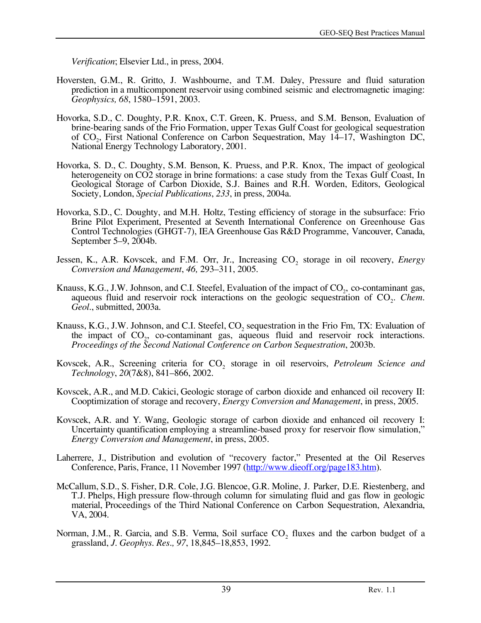*Verification*; Elsevier Ltd., in press, 2004.

- Hoversten, G.M., R. Gritto, J. Washbourne, and T.M. Daley, Pressure and fluid saturation prediction in a multicomponent reservoir using combined seismic and electromagnetic imaging: *Geophysics, 68*, 1580–1591, 2003.
- Hovorka, S.D., C. Doughty, P.R. Knox, C.T. Green, K. Pruess, and S.M. Benson, Evaluation of brine-bearing sands of the Frio Formation, upper Texas Gulf Coast for geological sequestration of CO2, First National Conference on Carbon Sequestration, May 14–17, Washington DC, National Energy Technology Laboratory, 2001.
- Hovorka, S. D., C. Doughty, S.M. Benson, K. Pruess, and P.R. Knox, The impact of geological heterogeneity on CO2 storage in brine formations: a case study from the Texas Gulf Coast, In Geological Storage of Carbon Dioxide, S.J. Baines and R.H. Worden, Editors, Geological Society, London, *Special Publications*, *233*, in press, 2004a.
- Hovorka, S.D., C. Doughty, and M.H. Holtz, Testing efficiency of storage in the subsurface: Frio Brine Pilot Experiment, Presented at Seventh International Conference on Greenhouse Gas Control Technologies (GHGT-7), IEA Greenhouse Gas R&D Programme, Vancouver, Canada, September 5–9, 2004b.
- Jessen, K., A.R. Kovscek, and F.M. Orr, Jr., Increasing CO<sub>2</sub> storage in oil recovery, *Energy Conversion and Management*, *46,* 293–311, 2005.
- Knauss, K.G., J.W. Johnson, and C.I. Steefel, Evaluation of the impact of  $CO<sub>2</sub>$ , co-contaminant gas, aqueous fluid and reservoir rock interactions on the geologic sequestration of CO<sub>2</sub>. *Chem. Geol.*, submitted, 2003a.
- Knauss, K.G., J.W. Johnson, and C.I. Steefel, CO<sub>2</sub> sequestration in the Frio Fm, TX: Evaluation of the impact of  $CO<sub>2</sub>$ , co-contaminant gas, aqueous fluid and reservoir rock interactions. *Proceedings of the Second National Conference on Carbon Sequestration*, 2003b.
- Kovscek, A.R., Screening criteria for CO<sub>2</sub> storage in oil reservoirs, Petroleum Science and *Technology*, *20*(7&8), 841–866, 2002.
- Kovscek, A.R., and M.D. Cakici, Geologic storage of carbon dioxide and enhanced oil recovery II: Cooptimization of storage and recovery, *Energy Conversion and Management*, in press, 2005.
- Kovscek, A.R. and Y. Wang, Geologic storage of carbon dioxide and enhanced oil recovery I: Uncertainty quantification employing a streamline-based proxy for reservoir flow simulation," *Energy Conversion and Management*, in press, 2005.
- Laherrere, J., Distribution and evolution of "recovery factor," Presented at the Oil Reserves Conference, Paris, France, 11 November 1997 (http://www.dieoff.org/page183.htm).
- McCallum, S.D., S. Fisher, D.R. Cole, J.G. Blencoe, G.R. Moline, J. Parker, D.E. Riestenberg, and T.J. Phelps, High pressure flow-through column for simulating fluid and gas flow in geologic material, Proceedings of the Third National Conference on Carbon Sequestration, Alexandria, VA, 2004.
- Norman, J.M., R. Garcia, and S.B. Verma, Soil surface  $CO<sub>2</sub>$ , fluxes and the carbon budget of a grassland, *J. Geophys. Res., 97*, 18,845–18,853, 1992.